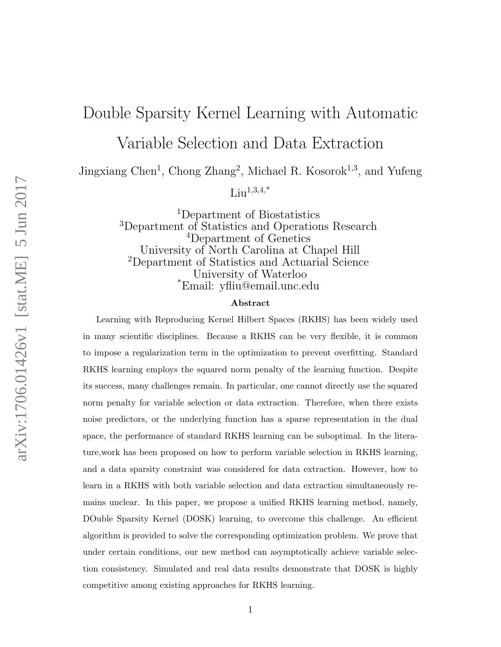# Double Sparsity Kernel Learning with Automatic

Variable Selection and Data Extraction

Jingxiang Chen<sup>1</sup>, Chong Zhang<sup>2</sup>, Michael R. Kosorok<sup>1,3</sup>, and Yufeng

 $Liu^{1,3,4,*}$ 

<sup>1</sup>Department of Biostatistics <sup>3</sup>Department of Statistics and Operations Research <sup>4</sup>Department of Genetics University of North Carolina at Chapel Hill <sup>2</sup>Department of Statistics and Actuarial Science University of Waterloo \*Email: yfliu@email.unc.edu

#### Abstract

Learning with Reproducing Kernel Hilbert Spaces (RKHS) has been widely used in many scientific disciplines. Because a RKHS can be very flexible, it is common to impose a regularization term in the optimization to prevent overfitting. Standard RKHS learning employs the squared norm penalty of the learning function. Despite its success, many challenges remain. In particular, one cannot directly use the squared norm penalty for variable selection or data extraction. Therefore, when there exists noise predictors, or the underlying function has a sparse representation in the dual space, the performance of standard RKHS learning can be suboptimal. In the literature,work has been proposed on how to perform variable selection in RKHS learning, and a data sparsity constraint was considered for data extraction. However, how to learn in a RKHS with both variable selection and data extraction simultaneously remains unclear. In this paper, we propose a unified RKHS learning method, namely, DOuble Sparsity Kernel (DOSK) learning, to overcome this challenge. An efficient algorithm is provided to solve the corresponding optimization problem. We prove that under certain conditions, our new method can asymptotically achieve variable selection consistency. Simulated and real data results demonstrate that DOSK is highly competitive among existing approaches for RKHS learning.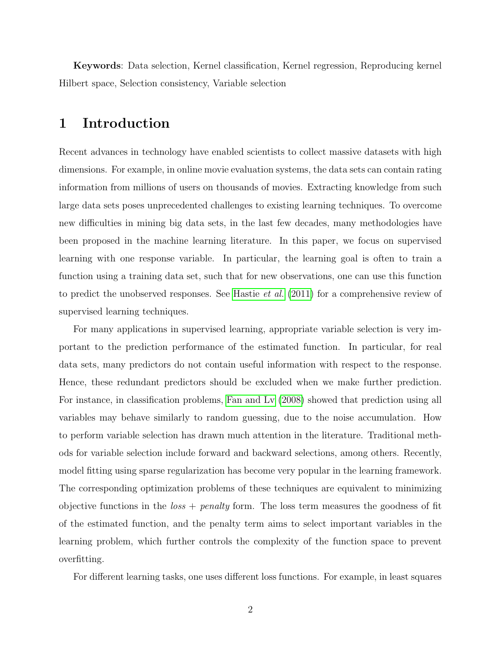Keywords: Data selection, Kernel classification, Kernel regression, Reproducing kernel Hilbert space, Selection consistency, Variable selection

### 1 Introduction

Recent advances in technology have enabled scientists to collect massive datasets with high dimensions. For example, in online movie evaluation systems, the data sets can contain rating information from millions of users on thousands of movies. Extracting knowledge from such large data sets poses unprecedented challenges to existing learning techniques. To overcome new difficulties in mining big data sets, in the last few decades, many methodologies have been proposed in the machine learning literature. In this paper, we focus on supervised learning with one response variable. In particular, the learning goal is often to train a function using a training data set, such that for new observations, one can use this function to predict the unobserved responses. See [Hastie](#page-41-0) *et al.*  $(2011)$  for a comprehensive review of supervised learning techniques.

For many applications in supervised learning, appropriate variable selection is very important to the prediction performance of the estimated function. In particular, for real data sets, many predictors do not contain useful information with respect to the response. Hence, these redundant predictors should be excluded when we make further prediction. For instance, in classification problems, [Fan and Lv](#page-40-0) [\(2008\)](#page-40-0) showed that prediction using all variables may behave similarly to random guessing, due to the noise accumulation. How to perform variable selection has drawn much attention in the literature. Traditional methods for variable selection include forward and backward selections, among others. Recently, model fitting using sparse regularization has become very popular in the learning framework. The corresponding optimization problems of these techniques are equivalent to minimizing objective functions in the  $loss + penalty$  form. The loss term measures the goodness of fit of the estimated function, and the penalty term aims to select important variables in the learning problem, which further controls the complexity of the function space to prevent overfitting.

For different learning tasks, one uses different loss functions. For example, in least squares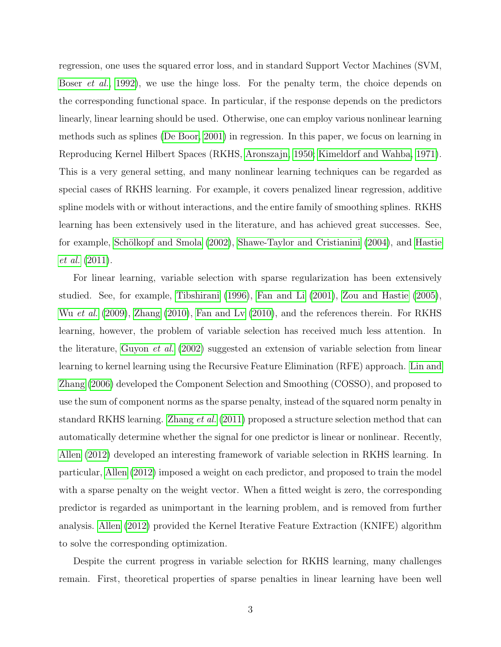regression, one uses the squared error loss, and in standard Support Vector Machines (SVM, [Boser](#page-40-1) *et al.*, [1992\)](#page-40-1), we use the hinge loss. For the penalty term, the choice depends on the corresponding functional space. In particular, if the response depends on the predictors linearly, linear learning should be used. Otherwise, one can employ various nonlinear learning methods such as splines [\(De Boor, 2001\)](#page-40-2) in regression. In this paper, we focus on learning in Reproducing Kernel Hilbert Spaces (RKHS, [Aronszajn, 1950;](#page-40-3) [Kimeldorf and Wahba, 1971\)](#page-41-1). This is a very general setting, and many nonlinear learning techniques can be regarded as special cases of RKHS learning. For example, it covers penalized linear regression, additive spline models with or without interactions, and the entire family of smoothing splines. RKHS learning has been extensively used in the literature, and has achieved great successes. See, for example, Schölkopf and Smola [\(2002\)](#page-41-2), [Shawe-Taylor and Cristianini](#page-41-3) [\(2004\)](#page-41-3), and [Hastie](#page-41-0) [et al.](#page-41-0) [\(2011\)](#page-41-0).

For linear learning, variable selection with sparse regularization has been extensively studied. See, for example, [Tibshirani](#page-42-0) [\(1996\)](#page-42-0), [Fan and Li](#page-40-4) [\(2001\)](#page-40-4), [Zou and Hastie](#page-42-1) [\(2005\)](#page-42-1), Wu [et al.](#page-42-2) [\(2009\)](#page-42-2), [Zhang](#page-42-3) [\(2010\)](#page-40-5), [Fan and Lv](#page-40-5) (2010), and the references therein. For RKHS learning, however, the problem of variable selection has received much less attention. In the literature, [Guyon](#page-41-4) et al. [\(2002\)](#page-41-4) suggested an extension of variable selection from linear learning to kernel learning using the Recursive Feature Elimination (RFE) approach. [Lin and](#page-41-5) [Zhang](#page-41-5) [\(2006\)](#page-41-5) developed the Component Selection and Smoothing (COSSO), and proposed to use the sum of component norms as the sparse penalty, instead of the squared norm penalty in standard RKHS learning. [Zhang](#page-42-4) et al. [\(2011\)](#page-42-4) proposed a structure selection method that can automatically determine whether the signal for one predictor is linear or nonlinear. Recently, [Allen](#page-40-6) [\(2012\)](#page-40-6) developed an interesting framework of variable selection in RKHS learning. In particular, [Allen](#page-40-6) [\(2012\)](#page-40-6) imposed a weight on each predictor, and proposed to train the model with a sparse penalty on the weight vector. When a fitted weight is zero, the corresponding predictor is regarded as unimportant in the learning problem, and is removed from further analysis. [Allen](#page-40-6) [\(2012\)](#page-40-6) provided the Kernel Iterative Feature Extraction (KNIFE) algorithm to solve the corresponding optimization.

Despite the current progress in variable selection for RKHS learning, many challenges remain. First, theoretical properties of sparse penalties in linear learning have been well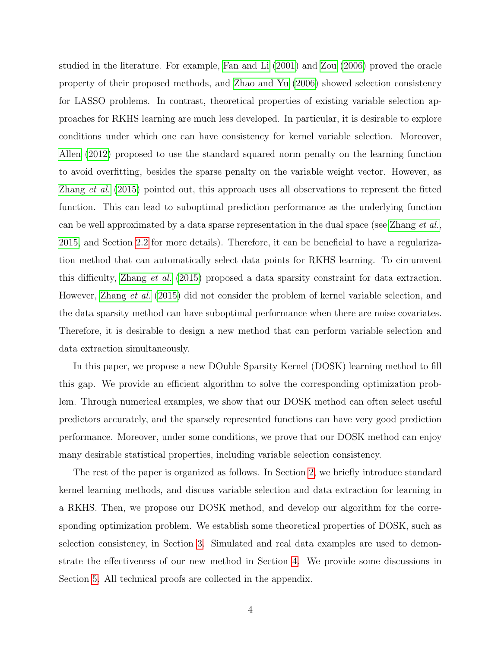studied in the literature. For example, [Fan and Li](#page-40-4) [\(2001\)](#page-40-4) and [Zou](#page-42-5) [\(2006\)](#page-42-5) proved the oracle property of their proposed methods, and [Zhao and Yu](#page-42-6) [\(2006\)](#page-42-6) showed selection consistency for LASSO problems. In contrast, theoretical properties of existing variable selection approaches for RKHS learning are much less developed. In particular, it is desirable to explore conditions under which one can have consistency for kernel variable selection. Moreover, [Allen](#page-40-6) [\(2012\)](#page-40-6) proposed to use the standard squared norm penalty on the learning function to avoid overfitting, besides the sparse penalty on the variable weight vector. However, as [Zhang](#page-42-7) et al. [\(2015\)](#page-42-7) pointed out, this approach uses all observations to represent the fitted function. This can lead to suboptimal prediction performance as the underlying function can be well approximated by a data sparse representation in the dual space (see [Zhang](#page-42-7)  $et al.$ [2015,](#page-42-7) and Section [2.2](#page-6-0) for more details). Therefore, it can be beneficial to have a regularization method that can automatically select data points for RKHS learning. To circumvent this difficulty, [Zhang](#page-42-7) et al. [\(2015\)](#page-42-7) proposed a data sparsity constraint for data extraction. However, [Zhang](#page-42-7) et al. [\(2015\)](#page-42-7) did not consider the problem of kernel variable selection, and the data sparsity method can have suboptimal performance when there are noise covariates. Therefore, it is desirable to design a new method that can perform variable selection and data extraction simultaneously.

In this paper, we propose a new DOuble Sparsity Kernel (DOSK) learning method to fill this gap. We provide an efficient algorithm to solve the corresponding optimization problem. Through numerical examples, we show that our DOSK method can often select useful predictors accurately, and the sparsely represented functions can have very good prediction performance. Moreover, under some conditions, we prove that our DOSK method can enjoy many desirable statistical properties, including variable selection consistency.

The rest of the paper is organized as follows. In Section [2,](#page-4-0) we briefly introduce standard kernel learning methods, and discuss variable selection and data extraction for learning in a RKHS. Then, we propose our DOSK method, and develop our algorithm for the corresponding optimization problem. We establish some theoretical properties of DOSK, such as selection consistency, in Section [3.](#page-11-0) Simulated and real data examples are used to demonstrate the effectiveness of our new method in Section [4.](#page-17-0) We provide some discussions in Section [5.](#page-29-0) All technical proofs are collected in the appendix.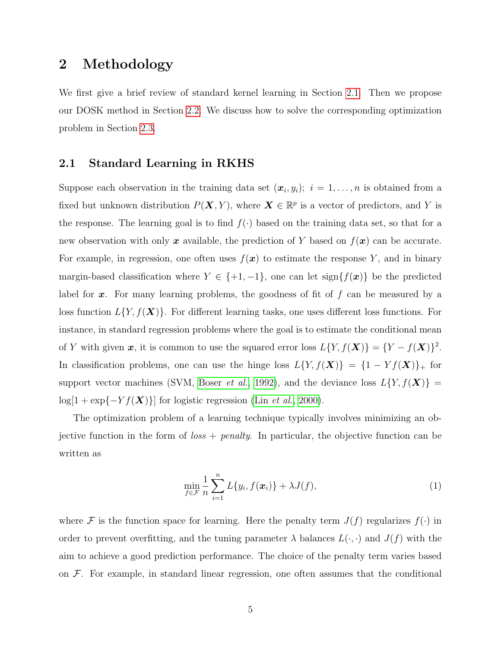### <span id="page-4-0"></span>2 Methodology

We first give a brief review of standard kernel learning in Section [2.1.](#page-4-1) Then we propose our DOSK method in Section [2.2.](#page-6-0) We discuss how to solve the corresponding optimization problem in Section [2.3.](#page-8-0)

### <span id="page-4-1"></span>2.1 Standard Learning in RKHS

Suppose each observation in the training data set  $(x_i, y_i); i = 1, \ldots, n$  is obtained from a fixed but unknown distribution  $P(X, Y)$ , where  $X \in \mathbb{R}^p$  is a vector of predictors, and Y is the response. The learning goal is to find  $f(\cdot)$  based on the training data set, so that for a new observation with only x available, the prediction of Y based on  $f(x)$  can be accurate. For example, in regression, one often uses  $f(x)$  to estimate the response Y, and in binary margin-based classification where  $Y \in \{+1, -1\}$ , one can let sign $\{f(\boldsymbol{x})\}$  be the predicted label for  $x$ . For many learning problems, the goodness of fit of  $f$  can be measured by a loss function  $L{Y, f(X)}$ . For different learning tasks, one uses different loss functions. For instance, in standard regression problems where the goal is to estimate the conditional mean of Y with given x, it is common to use the squared error loss  $L\{Y, f(\boldsymbol{X})\} = \{Y - f(\boldsymbol{X})\}^2$ . In classification problems, one can use the hinge loss  $L\{Y, f(\boldsymbol{X})\} = \{1 - Yf(\boldsymbol{X})\}$  for support vector machines (SVM, [Boser](#page-40-1) *et al.*, [1992\)](#page-40-1), and the deviance loss  $L\{Y, f(\boldsymbol{X})\}$  =  $log[1 + exp{-Yf(\boldsymbol{X})}]$  for logistic regression (Lin *[et al.](#page-41-6)*, [2000\)](#page-41-6).

The optimization problem of a learning technique typically involves minimizing an objective function in the form of  $loss + penalty$ . In particular, the objective function can be written as

<span id="page-4-2"></span>
$$
\min_{f \in \mathcal{F}} \frac{1}{n} \sum_{i=1}^{n} L\{y_i, f(\boldsymbol{x}_i)\} + \lambda J(f), \tag{1}
$$

where F is the function space for learning. Here the penalty term  $J(f)$  regularizes  $f(\cdot)$  in order to prevent overfitting, and the tuning parameter  $\lambda$  balances  $L(\cdot, \cdot)$  and  $J(f)$  with the aim to achieve a good prediction performance. The choice of the penalty term varies based on  $\mathcal F$ . For example, in standard linear regression, one often assumes that the conditional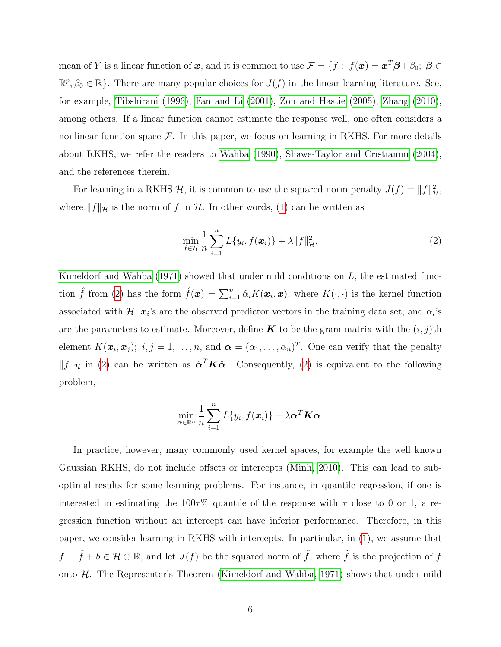mean of Y is a linear function of x, and it is common to use  $\mathcal{F} = \{f: f(x) = x^T \beta + \beta_0; \ \beta \in$  $\mathbb{R}^p$ ,  $\beta_0 \in \mathbb{R}$ . There are many popular choices for  $J(f)$  in the linear learning literature. See, for example, [Tibshirani](#page-42-0) [\(1996\)](#page-42-0), [Fan and Li](#page-40-4) [\(2001\)](#page-40-4), [Zou and Hastie](#page-42-1) [\(2005\)](#page-42-1), [Zhang](#page-42-3) [\(2010\)](#page-42-3), among others. If a linear function cannot estimate the response well, one often considers a nonlinear function space  $\mathcal F$ . In this paper, we focus on learning in RKHS. For more details about RKHS, we refer the readers to [Wahba](#page-42-8) [\(1990\)](#page-42-8), [Shawe-Taylor and Cristianini](#page-41-3) [\(2004\)](#page-41-3), and the references therein.

For learning in a RKHS  $H$ , it is common to use the squared norm penalty  $J(f) = ||f||_H^2$ , where  $||f||_{\mathcal{H}}$  is the norm of f in H. In other words, [\(1\)](#page-4-2) can be written as

<span id="page-5-0"></span>
$$
\min_{f \in \mathcal{H}} \frac{1}{n} \sum_{i=1}^{n} L\{y_i, f(\boldsymbol{x}_i)\} + \lambda \|f\|_{\mathcal{H}}^2.
$$
\n(2)

[Kimeldorf and Wahba](#page-41-1)  $(1971)$  showed that under mild conditions on L, the estimated function  $\hat{f}$  from [\(2\)](#page-5-0) has the form  $\hat{f}(\boldsymbol{x}) = \sum_{i=1}^n \hat{\alpha}_i K(\boldsymbol{x}_i, \boldsymbol{x})$ , where  $K(\cdot, \cdot)$  is the kernel function associated with  $\mathcal{H}, \mathbf{x}_i$ 's are the observed predictor vectors in the training data set, and  $\alpha_i$ 's are the parameters to estimate. Moreover, define **K** to be the gram matrix with the  $(i, j)$ th element  $K(\boldsymbol{x}_i, \boldsymbol{x}_j); i, j = 1, \ldots, n$ , and  $\boldsymbol{\alpha} = (\alpha_1, \ldots, \alpha_n)^T$ . One can verify that the penalty  $||f||_{\mathcal{H}}$  in [\(2\)](#page-5-0) can be written as  $\hat{\alpha}^T K \hat{\alpha}$ . Consequently, (2) is equivalent to the following problem,

$$
\min_{\boldsymbol{\alpha}\in\mathbb{R}^n}\frac{1}{n}\sum_{i=1}^nL\{y_i,f(\boldsymbol{x}_i)\}+\lambda\boldsymbol{\alpha}^T\boldsymbol{K}\boldsymbol{\alpha}.
$$

In practice, however, many commonly used kernel spaces, for example the well known Gaussian RKHS, do not include offsets or intercepts [\(Minh, 2010\)](#page-41-7). This can lead to suboptimal results for some learning problems. For instance, in quantile regression, if one is interested in estimating the  $100\tau\%$  quantile of the response with  $\tau$  close to 0 or 1, a regression function without an intercept can have inferior performance. Therefore, in this paper, we consider learning in RKHS with intercepts. In particular, in [\(1\)](#page-4-2), we assume that  $f = \tilde{f} + b \in \mathcal{H} \oplus \mathbb{R}$ , and let  $J(f)$  be the squared norm of  $\tilde{f}$ , where  $\tilde{f}$  is the projection of f onto  $H$ . The Representer's Theorem [\(Kimeldorf and Wahba, 1971\)](#page-41-1) shows that under mild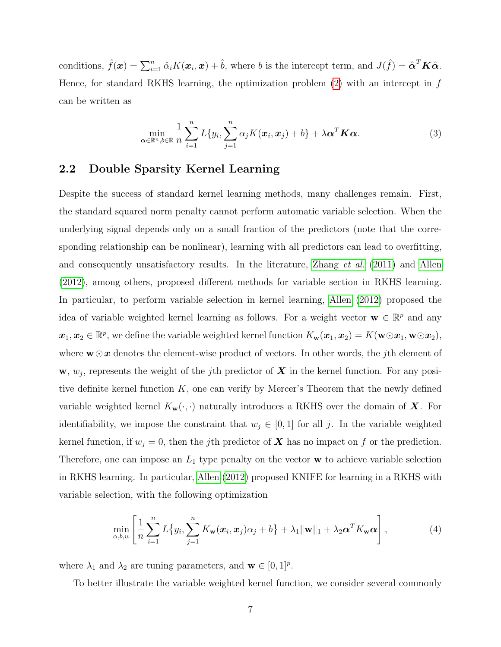conditions,  $\hat{f}(\boldsymbol{x}) = \sum_{i=1}^{n} \hat{\alpha}_i K(\boldsymbol{x}_i, \boldsymbol{x}) + \hat{b}$ , where b is the intercept term, and  $J(\hat{f}) = \hat{\boldsymbol{\alpha}}^T \boldsymbol{K} \hat{\boldsymbol{\alpha}}$ . Hence, for standard RKHS learning, the optimization problem  $(2)$  with an intercept in f can be written as

<span id="page-6-1"></span>
$$
\min_{\boldsymbol{\alpha} \in \mathbb{R}^n, b \in \mathbb{R}} \frac{1}{n} \sum_{i=1}^n L\{y_i, \sum_{j=1}^n \alpha_j K(\boldsymbol{x}_i, \boldsymbol{x}_j) + b\} + \lambda \boldsymbol{\alpha}^T \boldsymbol{K} \boldsymbol{\alpha}.
$$
\n(3)

### <span id="page-6-0"></span>2.2 Double Sparsity Kernel Learning

Despite the success of standard kernel learning methods, many challenges remain. First, the standard squared norm penalty cannot perform automatic variable selection. When the underlying signal depends only on a small fraction of the predictors (note that the corresponding relationship can be nonlinear), learning with all predictors can lead to overfitting, and consequently unsatisfactory results. In the literature, [Zhang](#page-42-4) et al. [\(2011\)](#page-42-4) and [Allen](#page-40-6) [\(2012\)](#page-40-6), among others, proposed different methods for variable section in RKHS learning. In particular, to perform variable selection in kernel learning, [Allen](#page-40-6) [\(2012\)](#page-40-6) proposed the idea of variable weighted kernel learning as follows. For a weight vector  $\mathbf{w} \in \mathbb{R}^p$  and any  $\mathbf{x}_1, \mathbf{x}_2 \in \mathbb{R}^p$ , we define the variable weighted kernel function  $K_{\mathbf{w}}(\mathbf{x}_1, \mathbf{x}_2) = K(\mathbf{w} \odot \mathbf{x}_1, \mathbf{w} \odot \mathbf{x}_2)$ , where  $w \odot x$  denotes the element-wise product of vectors. In other words, the *j*th element of  $\mathbf{w}, w_j$ , represents the weight of the j<sup>th</sup> predictor of  $\boldsymbol{X}$  in the kernel function. For any positive definite kernel function  $K$ , one can verify by Mercer's Theorem that the newly defined variable weighted kernel  $K_{\mathbf{w}}(\cdot, \cdot)$  naturally introduces a RKHS over the domain of  $\mathbf{X}$ . For identifiability, we impose the constraint that  $w_j \in [0,1]$  for all j. In the variable weighted kernel function, if  $w_j = 0$ , then the jth predictor of **X** has no impact on f or the prediction. Therefore, one can impose an  $L_1$  type penalty on the vector  $w$  to achieve variable selection in RKHS learning. In particular, [Allen](#page-40-6) [\(2012\)](#page-40-6) proposed KNIFE for learning in a RKHS with variable selection, with the following optimization

<span id="page-6-2"></span>
$$
\min_{\alpha,b,w} \left[ \frac{1}{n} \sum_{i=1}^n L\{y_i, \sum_{j=1}^n K_{\mathbf{w}}(\boldsymbol{x}_i, \boldsymbol{x}_j) \alpha_j + b \} + \lambda_1 \|\mathbf{w}\|_1 + \lambda_2 \boldsymbol{\alpha}^T K_{\mathbf{w}} \boldsymbol{\alpha} \right],
$$
\n(4)

where  $\lambda_1$  and  $\lambda_2$  are tuning parameters, and  $\mathbf{w} \in [0,1]^p$ .

To better illustrate the variable weighted kernel function, we consider several commonly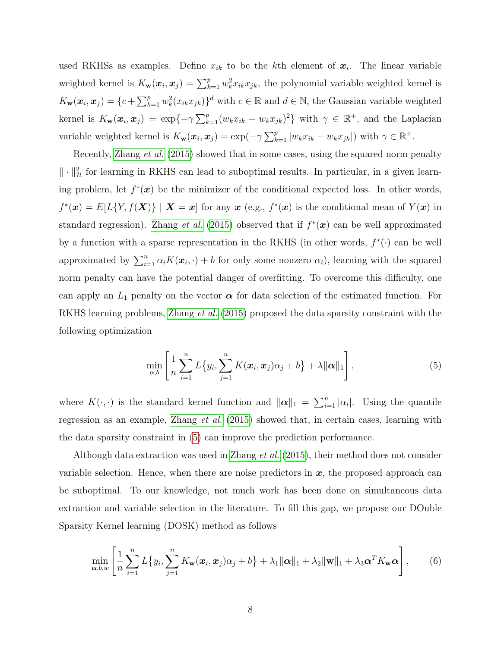used RKHSs as examples. Define  $x_{ik}$  to be the kth element of  $x_i$ . The linear variable weighted kernel is  $K_{\mathbf{w}}(\boldsymbol{x}_i, \boldsymbol{x}_j) = \sum_{k=1}^p w_k^2 x_{ik} x_{jk}$ , the polynomial variable weighted kernel is  $K_{\mathbf{w}}(\boldsymbol{x}_i, \boldsymbol{x}_j) = \{c + \sum_{k=1}^p w_k^2(x_{ik}x_{jk})\}^d$  with  $c \in \mathbb{R}$  and  $d \in \mathbb{N}$ , the Gaussian variable weighted kernel is  $K_{\mathbf{w}}(\boldsymbol{x}_i, \boldsymbol{x}_j) = \exp\{-\gamma \sum_{k=1}^p (w_k x_{ik} - w_k x_{jk})^2\}$  with  $\gamma \in \mathbb{R}^+$ , and the Laplacian variable weighted kernel is  $K_{\mathbf{w}}(\boldsymbol{x}_i, \boldsymbol{x}_j) = \exp(-\gamma \sum_{k=1}^p |w_k x_{ik} - w_k x_{jk}|)$  with  $\gamma \in \mathbb{R}^+$ .

Recently, [Zhang](#page-42-7) *et al.* [\(2015\)](#page-42-7) showed that in some cases, using the squared norm penalty  $\|\cdot\|_{\mathcal{H}}^2$  for learning in RKHS can lead to suboptimal results. In particular, in a given learning problem, let  $f^*(x)$  be the minimizer of the conditional expected loss. In other words,  $f^*(\mathbf{x}) = E[L\{Y, f(\mathbf{X})\} | \mathbf{X} = \mathbf{x}]$  for any  $\mathbf{x}$  (e.g.,  $f^*(\mathbf{x})$  is the conditional mean of  $Y(\mathbf{x})$  in standard regression). [Zhang](#page-42-7) *et al.* [\(2015\)](#page-42-7) observed that if  $f^*(x)$  can be well approximated by a function with a sparse representation in the RKHS (in other words,  $f^*(\cdot)$  can be well approximated by  $\sum_{i=1}^{n} \alpha_i K(\boldsymbol{x}_i, \cdot) + b$  for only some nonzero  $\alpha_i$ ), learning with the squared norm penalty can have the potential danger of overfitting. To overcome this difficulty, one can apply an  $L_1$  penalty on the vector  $\alpha$  for data selection of the estimated function. For RKHS learning problems, [Zhang](#page-42-7) et al. [\(2015\)](#page-42-7) proposed the data sparsity constraint with the following optimization

<span id="page-7-0"></span>
$$
\min_{\alpha,b} \left[ \frac{1}{n} \sum_{i=1}^n L\{y_i, \sum_{j=1}^n K(\boldsymbol{x}_i, \boldsymbol{x}_j) \alpha_j + b \} + \lambda ||\boldsymbol{\alpha}||_1 \right],
$$
\n(5)

where  $K(\cdot, \cdot)$  is the standard kernel function and  $\|\boldsymbol{\alpha}\|_1 = \sum_{i=1}^n |\alpha_i|$ . Using the quantile regression as an example, [Zhang](#page-42-7) et al. [\(2015\)](#page-42-7) showed that, in certain cases, learning with the data sparsity constraint in [\(5\)](#page-7-0) can improve the prediction performance.

Although data extraction was used in [Zhang](#page-42-7) *et al.* [\(2015\)](#page-42-7), their method does not consider variable selection. Hence, when there are noise predictors in  $x$ , the proposed approach can be suboptimal. To our knowledge, not much work has been done on simultaneous data extraction and variable selection in the literature. To fill this gap, we propose our DOuble Sparsity Kernel learning (DOSK) method as follows

<span id="page-7-1"></span>
$$
\min_{\boldsymbol{\alpha},b,w} \left[ \frac{1}{n} \sum_{i=1}^n L\{y_i, \sum_{j=1}^n K_{\mathbf{w}}(\boldsymbol{x}_i, \boldsymbol{x}_j) \alpha_j + b \} + \lambda_1 ||\boldsymbol{\alpha}||_1 + \lambda_2 ||\mathbf{w}||_1 + \lambda_3 \boldsymbol{\alpha}^T K_{\mathbf{w}} \boldsymbol{\alpha} \right], \qquad (6)
$$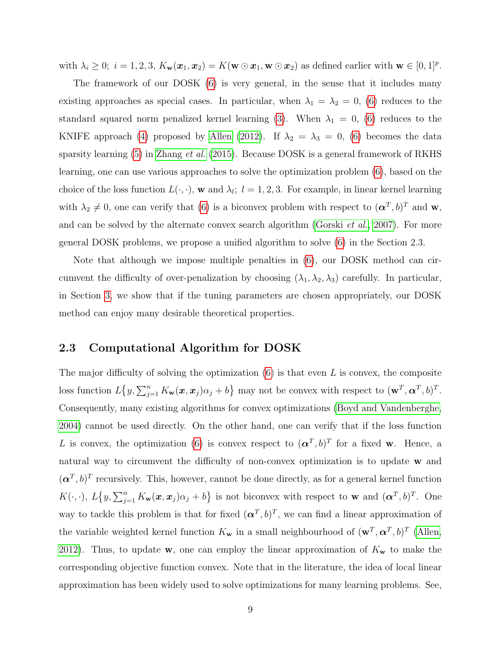with  $\lambda_i \geq 0$ ;  $i = 1, 2, 3$ ,  $K_{\mathbf{w}}(\mathbf{x}_1, \mathbf{x}_2) = K(\mathbf{w} \odot \mathbf{x}_1, \mathbf{w} \odot \mathbf{x}_2)$  as defined earlier with  $\mathbf{w} \in [0, 1]^p$ .

The framework of our DOSK [\(6\)](#page-7-1) is very general, in the sense that it includes many existing approaches as special cases. In particular, when  $\lambda_1 = \lambda_2 = 0$ , [\(6\)](#page-7-1) reduces to the standard squared norm penalized kernel learning [\(3\)](#page-6-1). When  $\lambda_1 = 0$ , [\(6\)](#page-7-1) reduces to the KNIFE approach [\(4\)](#page-6-2) proposed by [Allen](#page-40-6) [\(2012\)](#page-40-6). If  $\lambda_2 = \lambda_3 = 0$ , [\(6\)](#page-7-1) becomes the data sparsity learning  $(5)$  in [Zhang](#page-42-7) *et al.* [\(2015\)](#page-42-7). Because DOSK is a general framework of RKHS learning, one can use various approaches to solve the optimization problem [\(6\)](#page-7-1), based on the choice of the loss function  $L(\cdot, \cdot)$ , w and  $\lambda_l$ ;  $l = 1, 2, 3$ . For example, in linear kernel learning with  $\lambda_2 \neq 0$ , one can verify that [\(6\)](#page-7-1) is a biconvex problem with respect to  $({\bf{\alpha}}^T, b)^T$  and w, and can be solved by the alternate convex search algorithm [\(Gorski](#page-41-8) et al., [2007\)](#page-41-8). For more general DOSK problems, we propose a unified algorithm to solve [\(6\)](#page-7-1) in the Section 2.3.

Note that although we impose multiple penalties in [\(6\)](#page-7-1), our DOSK method can circumvent the difficulty of over-penalization by choosing  $(\lambda_1, \lambda_2, \lambda_3)$  carefully. In particular, in Section [3,](#page-11-0) we show that if the tuning parameters are chosen appropriately, our DOSK method can enjoy many desirable theoretical properties.

### <span id="page-8-0"></span>2.3 Computational Algorithm for DOSK

The major difficulty of solving the optimization  $(6)$  is that even L is convex, the composite loss function  $L\{y, \sum_{j=1}^n K_{\mathbf{w}}(\mathbf{x}, \mathbf{x}_j)\alpha_j + b\}$  may not be convex with respect to  $(\mathbf{w}^T, \mathbf{\alpha}^T, b)^T$ . Consequently, many existing algorithms for convex optimizations [\(Boyd and Vandenberghe,](#page-40-7) [2004\)](#page-40-7) cannot be used directly. On the other hand, one can verify that if the loss function L is convex, the optimization [\(6\)](#page-7-1) is convex respect to  $({\bf{\alpha}}^T,b)^T$  for a fixed w. Hence, a natural way to circumvent the difficulty of non-convex optimization is to update w and  $({\bf \alpha}^T, b)^T$  recursively. This, however, cannot be done directly, as for a general kernel function  $K(\cdot, \cdot), L\{y, \sum_{j=1}^n K_{\mathbf{w}}(\boldsymbol{x}, \boldsymbol{x}_j) \alpha_j + b\}$  is not biconvex with respect to **w** and  $(\boldsymbol{\alpha}^T, b)^T$ . One way to tackle this problem is that for fixed  $({\bf{\alpha}}^T, b)^T$ , we can find a linear approximation of the variable weighted kernel function  $K_{\bf w}$  in a small neighbourhood of  $({\bf w}^T, {\bf \alpha}^T, b)^T$  [\(Allen,](#page-40-6) [2012\)](#page-40-6). Thus, to update w, one can employ the linear approximation of  $K_w$  to make the corresponding objective function convex. Note that in the literature, the idea of local linear approximation has been widely used to solve optimizations for many learning problems. See,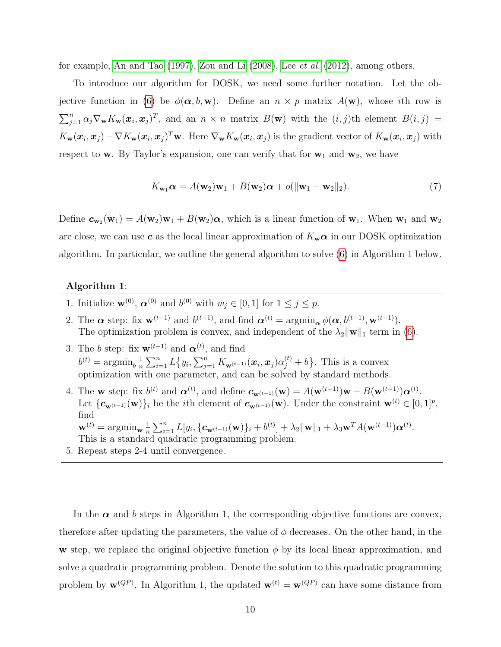for example, [An and Tao](#page-40-8) [\(1997\)](#page-40-8), [Zou and Li](#page-42-9) [\(2008\)](#page-42-9), Lee [et al.](#page-41-9) [\(2012\)](#page-41-9), among others.

To introduce our algorithm for DOSK, we need some further notation. Let the ob-jective function in [\(6\)](#page-7-1) be  $\phi(\alpha, b, \mathbf{w})$ . Define an  $n \times p$  matrix  $A(\mathbf{w})$ , whose *i*th row is  $\sum_{j=1}^n \alpha_j \nabla_{\mathbf{w}} K_{\mathbf{w}}(\mathbf{x}_i, \mathbf{x}_j)^T$ , and an  $n \times n$  matrix  $B(\mathbf{w})$  with the  $(i, j)$ th element  $B(i, j)$  =  $K_{\mathbf{w}}(\boldsymbol{x}_i, \boldsymbol{x}_j) - \nabla K_{\mathbf{w}}(\boldsymbol{x}_i, \boldsymbol{x}_j)^T \mathbf{w}$ . Here  $\nabla_{\mathbf{w}} K_{\mathbf{w}}(\boldsymbol{x}_i, \boldsymbol{x}_j)$  is the gradient vector of  $K_{\mathbf{w}}(\boldsymbol{x}_i, \boldsymbol{x}_j)$  with respect to w. By Taylor's expansion, one can verify that for  $w_1$  and  $w_2$ , we have

$$
K_{\mathbf{w}_1}\alpha = A(\mathbf{w}_2)\mathbf{w}_1 + B(\mathbf{w}_2)\alpha + o(||\mathbf{w}_1 - \mathbf{w}_2||_2). \tag{7}
$$

Define  $c_{w_2}(w_1) = A(w_2)w_1 + B(w_2)\alpha$ , which is a linear function of  $w_1$ . When  $w_1$  and  $w_2$ are close, we can use c as the local linear approximation of  $K_w \alpha$  in our DOSK optimization algorithm. In particular, we outline the general algorithm to solve [\(6\)](#page-7-1) in Algorithm 1 below.

#### Algorithm 1:

- 1. Initialize  $\mathbf{w}^{(0)}$ ,  $\boldsymbol{\alpha}^{(0)}$  and  $b^{(0)}$  with  $w_j \in [0,1]$  for  $1 \leq j \leq p$ .
- 2. The  $\alpha$  step: fix  $\mathbf{w}^{(t-1)}$  and  $b^{(t-1)}$ , and find  $\alpha^{(t)} = \operatorname{argmin}_{\alpha} \phi(\alpha, b^{(t-1)}, \mathbf{w}^{(t-1)})$ . The optimization problem is convex, and independent of the  $\lambda_2 \|\mathbf{w}\|_1$  term in [\(6\)](#page-7-1).
- 3. The b step: fix  $\mathbf{w}^{(t-1)}$  and  $\boldsymbol{\alpha}^{(t)}$ , and find  $b^{(t)} = \operatorname{argmin}_{b} \frac{1}{n}$  $\frac{1}{n}\sum_{i=1}^n L\big\{y_i,\sum_{j=1}^n K_{\mathbf{w}^{(t-1)}}(\boldsymbol{x}_i,\boldsymbol{x}_j)\alpha_j^{(t)}+b\big\}.$  This is a convex optimization with one parameter, and can be solved by standard methods.
- 4. The **w** step: fix  $b^{(t)}$  and  $\alpha^{(t)}$ , and define  $c_{\mathbf{w}^{(t-1)}}(\mathbf{w}) = A(\mathbf{w}^{(t-1)})\mathbf{w} + B(\mathbf{w}^{(t-1)})\alpha^{(t)}$ . Let  ${\{\boldsymbol{c}_{\mathbf{w}^{(t-1)}}(\mathbf{w})\}_i}$  be the *i*th element of  $\boldsymbol{c}_{\mathbf{w}^{(t-1)}}(\mathbf{w})$ . Under the constraint  $\mathbf{w}^{(t)} \in [0,1]^p$ , find  $\mathbf{w}^{(t)} = \arg\min_{\mathbf{w}} \frac{1}{n}$  $\frac{1}{n}\sum_{i=1}^n L[y_i, \{\mathbf{c}_{\mathbf{w}^{(t-1)}}(\mathbf{w})\}_i + b^{(t)}] + \lambda_2 \|\mathbf{w}\|_1 + \lambda_3 \mathbf{w}^T A(\mathbf{w}^{(t-1)}) \boldsymbol{\alpha}^{(t)}.$
- This is a standard quadratic programming problem.
- 5. Repeat steps 2-4 until convergence.

In the  $\alpha$  and b steps in Algorithm 1, the corresponding objective functions are convex, therefore after updating the parameters, the value of  $\phi$  decreases. On the other hand, in the w step, we replace the original objective function  $\phi$  by its local linear approximation, and solve a quadratic programming problem. Denote the solution to this quadratic programming problem by  $\mathbf{w}^{(QP)}$ . In Algorithm 1, the updated  $\mathbf{w}^{(t)} = \mathbf{w}^{(QP)}$  can have some distance from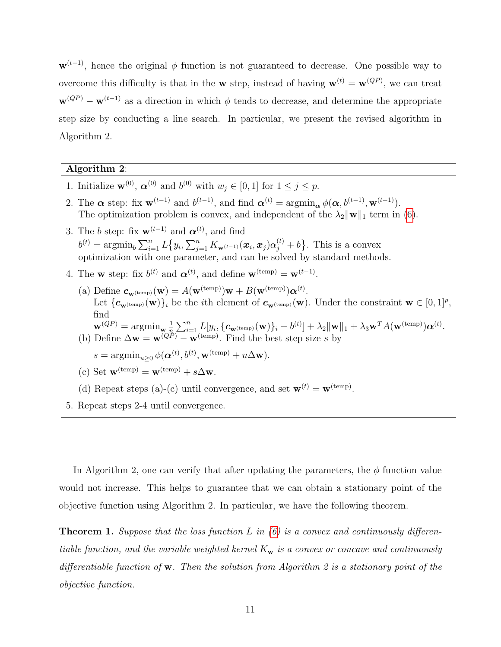$\mathbf{w}^{(t-1)}$ , hence the original  $\phi$  function is not guaranteed to decrease. One possible way to overcome this difficulty is that in the **w** step, instead of having  $\mathbf{w}^{(t)} = \mathbf{w}^{(QP)}$ , we can treat  $\mathbf{w}^{(QP)} - \mathbf{w}^{(t-1)}$  as a direction in which  $\phi$  tends to decrease, and determine the appropriate step size by conducting a line search. In particular, we present the revised algorithm in Algorithm 2.

#### Algorithm 2:

- 1. Initialize  $\mathbf{w}^{(0)}$ ,  $\boldsymbol{\alpha}^{(0)}$  and  $b^{(0)}$  with  $w_j \in [0,1]$  for  $1 \leq j \leq p$ .
- 2. The  $\alpha$  step: fix  $\mathbf{w}^{(t-1)}$  and  $b^{(t-1)}$ , and find  $\alpha^{(t)} = \operatorname{argmin}_{\alpha} \phi(\alpha, b^{(t-1)}, \mathbf{w}^{(t-1)})$ . The optimization problem is convex, and independent of the  $\lambda_2 \|\mathbf{w}\|_1$  term in [\(6\)](#page-7-1).
- 3. The b step: fix  $\mathbf{w}^{(t-1)}$  and  $\boldsymbol{\alpha}^{(t)}$ , and find  $b^{(t)} = \operatorname{argmin}_{b} \sum_{i=1}^{n} L\big\{y_i, \sum_{j=1}^{n} K_{\mathbf{w}^{(t-1)}}(\boldsymbol{x}_i, \boldsymbol{x}_j) \alpha_j^{(t)} + b\big\}.$  This is a convex optimization with one parameter, and can be solved by standard methods.
- 4. The **w** step: fix  $b^{(t)}$  and  $\alpha^{(t)}$ , and define  $\mathbf{w}^{(\text{temp})} = \mathbf{w}^{(t-1)}$ .
	- (a) Define  $c_{\mathbf{w}(\text{temp})}(\mathbf{w}) = A(\mathbf{w}^{(\text{temp})})\mathbf{w} + B(\mathbf{w}^{(\text{temp})})\alpha^{(t)}.$ Let  $\{\mathbf{c}_{\mathbf{w}(\text{temp})}(\mathbf{w})\}_i$  be the *i*th element of  $\mathbf{c}_{\mathbf{w}(\text{temp})}(\mathbf{w})$ . Under the constraint  $\mathbf{w} \in [0,1]^p$ , find  $\mathbf{w}^{(QP)} = \arg\!\min_{\mathbf{w}} \frac{1}{n}$  $\frac{1}{n}\!\sum_{i=1}^n\! \sum_{l=1}^n\! \left[y_{i}, \{\boldsymbol{c}_{\mathbf{w}^{(\text{temp})}}(\mathbf{w})\}_i + b^{(t)}\right] + \lambda_2\|\mathbf{w}\|_1 + \lambda_3\mathbf{w}^TA(\mathbf{w}^{(\text{temp})})\boldsymbol{\alpha}^{(t)}.$ (b) Define  $\Delta \mathbf{w} = \mathbf{w}^{(QP)} - \mathbf{w}^{(\text{temp})}$ . Find the best step size s by

 $s = \operatorname{argmin}_{u \geq 0} \phi(\boldsymbol{\alpha}^{(t)}, b^{(t)}, \mathbf{w}^{(\text{temp})} + u\Delta \mathbf{w}).$ 

(c) Set 
$$
\mathbf{w}^{(\text{temp})} = \mathbf{w}^{(\text{temp})} + s\Delta\mathbf{w}
$$
.

- (d) Repeat steps (a)-(c) until convergence, and set  $\mathbf{w}^{(t)} = \mathbf{w}^{(\text{temp})}$ .
- 5. Repeat steps 2-4 until convergence.

In Algorithm 2, one can verify that after updating the parameters, the  $\phi$  function value would not increase. This helps to guarantee that we can obtain a stationary point of the objective function using Algorithm 2. In particular, we have the following theorem.

<span id="page-10-0"></span>**Theorem 1.** Suppose that the loss function L in  $(6)$  is a convex and continuously differentiable function, and the variable weighted kernel  $K_w$  is a convex or concave and continuously differentiable function of w. Then the solution from Algorithm 2 is a stationary point of the objective function.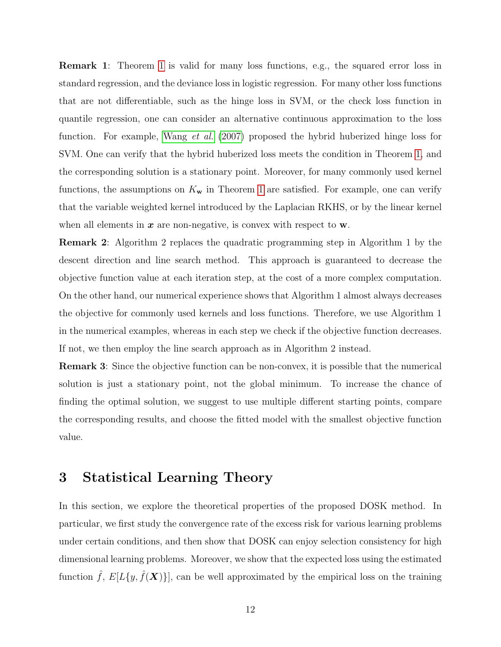Remark 1: Theorem [1](#page-10-0) is valid for many loss functions, e.g., the squared error loss in standard regression, and the deviance loss in logistic regression. For many other loss functions that are not differentiable, such as the hinge loss in SVM, or the check loss function in quantile regression, one can consider an alternative continuous approximation to the loss function. For example, [Wang](#page-42-10) *et al.* [\(2007\)](#page-42-10) proposed the hybrid huberized hinge loss for SVM. One can verify that the hybrid huberized loss meets the condition in Theorem [1,](#page-10-0) and the corresponding solution is a stationary point. Moreover, for many commonly used kernel functions, the assumptions on  $K_{\mathbf{w}}$  in Theorem [1](#page-10-0) are satisfied. For example, one can verify that the variable weighted kernel introduced by the Laplacian RKHS, or by the linear kernel when all elements in  $x$  are non-negative, is convex with respect to  $w$ .

Remark 2: Algorithm 2 replaces the quadratic programming step in Algorithm 1 by the descent direction and line search method. This approach is guaranteed to decrease the objective function value at each iteration step, at the cost of a more complex computation. On the other hand, our numerical experience shows that Algorithm 1 almost always decreases the objective for commonly used kernels and loss functions. Therefore, we use Algorithm 1 in the numerical examples, whereas in each step we check if the objective function decreases. If not, we then employ the line search approach as in Algorithm 2 instead.

Remark 3: Since the objective function can be non-convex, it is possible that the numerical solution is just a stationary point, not the global minimum. To increase the chance of finding the optimal solution, we suggest to use multiple different starting points, compare the corresponding results, and choose the fitted model with the smallest objective function value.

## <span id="page-11-0"></span>3 Statistical Learning Theory

In this section, we explore the theoretical properties of the proposed DOSK method. In particular, we first study the convergence rate of the excess risk for various learning problems under certain conditions, and then show that DOSK can enjoy selection consistency for high dimensional learning problems. Moreover, we show that the expected loss using the estimated function  $\hat{f}$ ,  $E[L\{y, \hat{f}(\boldsymbol{X})\}]$ , can be well approximated by the empirical loss on the training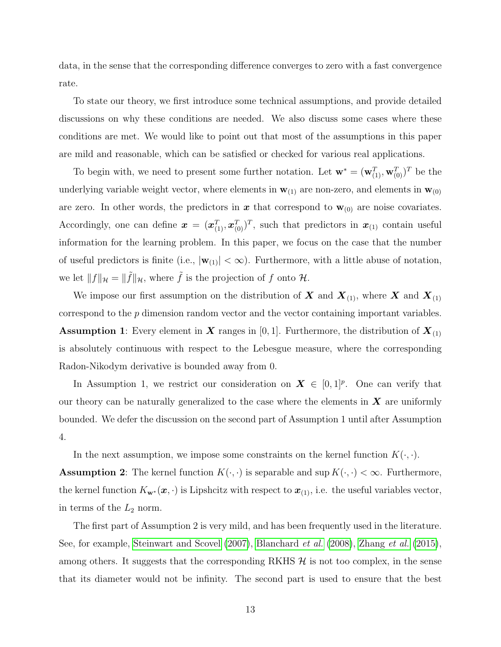data, in the sense that the corresponding difference converges to zero with a fast convergence rate.

To state our theory, we first introduce some technical assumptions, and provide detailed discussions on why these conditions are needed. We also discuss some cases where these conditions are met. We would like to point out that most of the assumptions in this paper are mild and reasonable, which can be satisfied or checked for various real applications.

To begin with, we need to present some further notation. Let  $\mathbf{w}^* = (\mathbf{w}_{(1)}^T, \mathbf{w}_{(0)}^T)^T$  be the underlying variable weight vector, where elements in  $w_{(1)}$  are non-zero, and elements in  $w_{(0)}$ are zero. In other words, the predictors in x that correspond to  $w_{(0)}$  are noise covariates. Accordingly, one can define  $\bm{x} = (\bm{x}_{(1)}^T, \bm{x}_{(0)}^T)$ , such that predictors in  $\bm{x}_{(1)}$  contain useful information for the learning problem. In this paper, we focus on the case that the number of useful predictors is finite (i.e.,  $|\mathbf{w}_{(1)}| < \infty$ ). Furthermore, with a little abuse of notation, we let  $|| f ||_{\mathcal{H}} = || \tilde{f} ||_{\mathcal{H}}$ , where  $\tilde{f}$  is the projection of f onto  $\mathcal{H}$ .

We impose our first assumption on the distribution of  $X$  and  $X_{(1)}$ , where  $X$  and  $X_{(1)}$ correspond to the p dimension random vector and the vector containing important variables. **Assumption 1:** Every element in **X** ranges in [0, 1]. Furthermore, the distribution of  $\mathbf{X}_{(1)}$ is absolutely continuous with respect to the Lebesgue measure, where the corresponding Radon-Nikodym derivative is bounded away from 0.

In Assumption 1, we restrict our consideration on  $\mathbf{X} \in [0,1]^p$ . One can verify that our theory can be naturally generalized to the case where the elements in  $\boldsymbol{X}$  are uniformly bounded. We defer the discussion on the second part of Assumption 1 until after Assumption 4.

In the next assumption, we impose some constraints on the kernel function  $K(\cdot, \cdot)$ .

**Assumption 2:** The kernel function  $K(\cdot, \cdot)$  is separable and sup  $K(\cdot, \cdot) < \infty$ . Furthermore, the kernel function  $K_{\mathbf{w}^*}(\mathbf{x},\cdot)$  is Lipshcitz with respect to  $\mathbf{x}_{(1)}$ , i.e. the useful variables vector, in terms of the  $L_2$  norm.

The first part of Assumption 2 is very mild, and has been frequently used in the literature. See, for example, [Steinwart and Scovel](#page-42-11) [\(2007\)](#page-42-11), [Blanchard](#page-40-9) et al. [\(2008\)](#page-40-9), [Zhang](#page-42-7) et al. [\(2015\)](#page-42-7), among others. It suggests that the corresponding RKHS  $H$  is not too complex, in the sense that its diameter would not be infinity. The second part is used to ensure that the best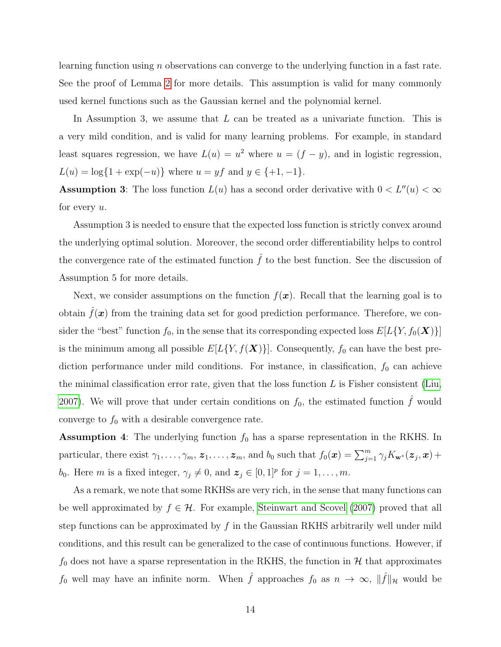learning function using n observations can converge to the underlying function in a fast rate. See the proof of Lemma [2](#page-31-0) for more details. This assumption is valid for many commonly used kernel functions such as the Gaussian kernel and the polynomial kernel.

In Assumption 3, we assume that  $L$  can be treated as a univariate function. This is a very mild condition, and is valid for many learning problems. For example, in standard least squares regression, we have  $L(u) = u^2$  where  $u = (f - y)$ , and in logistic regression,  $L(u) = \log{1 + \exp(-u)}$  where  $u = yf$  and  $y \in \{+1, -1\}$ .

**Assumption 3:** The loss function  $L(u)$  has a second order derivative with  $0 < L''(u) < \infty$ for every  $u$ .

Assumption 3 is needed to ensure that the expected loss function is strictly convex around the underlying optimal solution. Moreover, the second order differentiability helps to control the convergence rate of the estimated function  $\hat{f}$  to the best function. See the discussion of Assumption 5 for more details.

Next, we consider assumptions on the function  $f(x)$ . Recall that the learning goal is to obtain  $f(x)$  from the training data set for good prediction performance. Therefore, we consider the "best" function  $f_0$ , in the sense that its corresponding expected loss  $E[L\{Y, f_0(\boldsymbol{X})\}]$ is the minimum among all possible  $E[L\{Y, f(\boldsymbol{X})\}]$ . Consequently,  $f_0$  can have the best prediction performance under mild conditions. For instance, in classification,  $f_0$  can achieve the minimal classification error rate, given that the loss function  $L$  is Fisher consistent [\(Liu,](#page-41-10) [2007\)](#page-41-10). We will prove that under certain conditions on  $f_0$ , the estimated function  $\hat{f}$  would converge to  $f_0$  with a desirable convergence rate.

**Assumption 4:** The underlying function  $f_0$  has a sparse representation in the RKHS. In particular, there exist  $\gamma_1, \ldots, \gamma_m, z_1, \ldots, z_m$ , and  $b_0$  such that  $f_0(\boldsymbol{x}) = \sum_{j=1}^m \gamma_j K_{\mathbf{w}^*}(\boldsymbol{z}_j, \boldsymbol{x}) +$ b<sub>0</sub>. Here m is a fixed integer,  $\gamma_j \neq 0$ , and  $\mathbf{z}_j \in [0,1]^p$  for  $j = 1, \ldots, m$ .

As a remark, we note that some RKHSs are very rich, in the sense that many functions can be well approximated by  $f \in \mathcal{H}$ . For example, [Steinwart and Scovel](#page-42-11) [\(2007\)](#page-42-11) proved that all step functions can be approximated by  $f$  in the Gaussian RKHS arbitrarily well under mild conditions, and this result can be generalized to the case of continuous functions. However, if  $f_0$  does not have a sparse representation in the RKHS, the function in  $H$  that approximates  $f_0$  well may have an infinite norm. When  $\hat{f}$  approaches  $f_0$  as  $n \to \infty$ ,  $\|\hat{f}\|_{\mathcal{H}}$  would be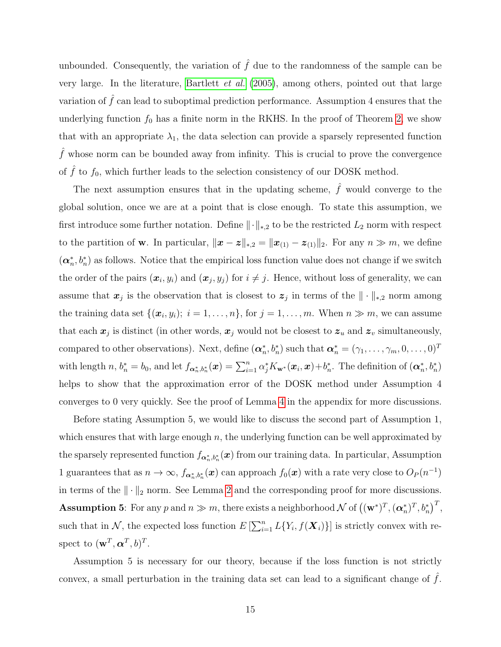unbounded. Consequently, the variation of  $\hat{f}$  due to the randomness of the sample can be very large. In the literature, [Bartlett](#page-40-10) et al. [\(2005\)](#page-40-10), among others, pointed out that large variation of  $f$  can lead to suboptimal prediction performance. Assumption 4 ensures that the underlying function  $f_0$  has a finite norm in the RKHS. In the proof of Theorem [2,](#page-16-0) we show that with an appropriate  $\lambda_1$ , the data selection can provide a sparsely represented function  $\hat{f}$  whose norm can be bounded away from infinity. This is crucial to prove the convergence of  $\hat{f}$  to  $f_0$ , which further leads to the selection consistency of our DOSK method.

The next assumption ensures that in the updating scheme,  $\hat{f}$  would converge to the global solution, once we are at a point that is close enough. To state this assumption, we first introduce some further notation. Define  $\|\cdot\|_{*,2}$  to be the restricted  $L_2$  norm with respect to the partition of w. In particular,  $\|\boldsymbol{x} - \boldsymbol{z}\|_{*,2} = \|\boldsymbol{x}_{(1)} - \boldsymbol{z}_{(1)}\|_2$ . For any  $n \gg m$ , we define  $(\boldsymbol{\alpha}_n^*, b_n^*)$  as follows. Notice that the empirical loss function value does not change if we switch the order of the pairs  $(x_i, y_i)$  and  $(x_j, y_j)$  for  $i \neq j$ . Hence, without loss of generality, we can assume that  $x_j$  is the observation that is closest to  $z_j$  in terms of the  $\|\cdot\|_{*,2}$  norm among the training data set  $\{(\boldsymbol{x}_i, y_i); i = 1, \ldots, n\}$ , for  $j = 1, \ldots, m$ . When  $n \gg m$ , we can assume that each  $x_j$  is distinct (in other words,  $x_j$  would not be closest to  $z_u$  and  $z_v$  simultaneously, compared to other observations). Next, define  $(\boldsymbol{\alpha}_n^*,b_n^*)$  such that  $\boldsymbol{\alpha}_n^* = (\gamma_1,\ldots,\gamma_m,0,\ldots,0)^T$ with length n,  $b_n^* = b_0$ , and let  $f_{\boldsymbol{\alpha}_n^*,b_n^*}(\boldsymbol{x}) = \sum_{i=1}^n \alpha_j^* K_{\mathbf{w}^*}(\boldsymbol{x}_i,\boldsymbol{x}) + b_n^*$ . The definition of  $(\boldsymbol{\alpha}_n^*,b_n^*)$ helps to show that the approximation error of the DOSK method under Assumption 4 converges to 0 very quickly. See the proof of Lemma [4](#page-34-0) in the appendix for more discussions.

Before stating Assumption 5, we would like to discuss the second part of Assumption 1, which ensures that with large enough  $n$ , the underlying function can be well approximated by the sparsely represented function  $f_{\boldsymbol{\alpha}_n^*,b_n^*}(\boldsymbol{x})$  from our training data. In particular, Assumption 1 guarantees that as  $n \to \infty$ ,  $f_{\alpha_n^*,b_n^*}(\bm{x})$  can approach  $f_0(\bm{x})$  with a rate very close to  $O_P(n^{-1})$ in terms of the  $\|\cdot\|_2$  norm. See Lemma [2](#page-31-0) and the corresponding proof for more discussions. **Assumption 5**: For any p and  $n \gg m$ , there exists a neighborhood  $\mathcal N$  of  $((\mathbf w^*)^T, (\boldsymbol\alpha_n^*)^T, b_n^*)^T$ , such that in N, the expected loss function  $E\left[\sum_{i=1}^n L\{Y_i, f(\boldsymbol{X}_i)\}\right]$  is strictly convex with respect to  $(\mathbf{w}^T, \boldsymbol{\alpha}^T, b)^T$ .

Assumption 5 is necessary for our theory, because if the loss function is not strictly convex, a small perturbation in the training data set can lead to a significant change of  $f$ .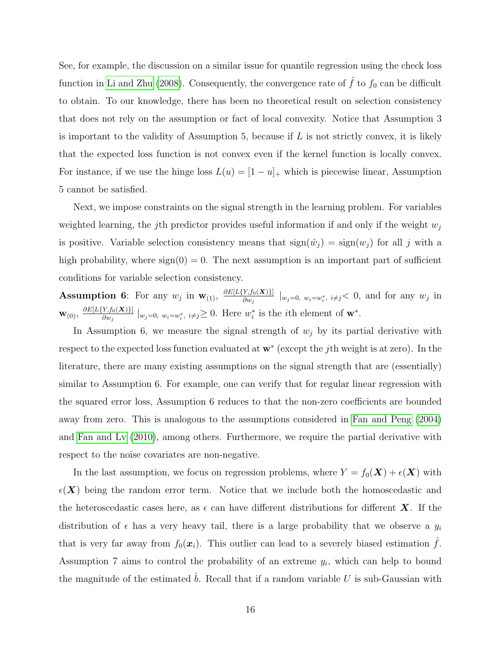See, for example, the discussion on a similar issue for quantile regression using the check loss function in [Li and Zhu](#page-41-11) [\(2008\)](#page-41-11). Consequently, the convergence rate of  $\hat{f}$  to  $f_0$  can be difficult to obtain. To our knowledge, there has been no theoretical result on selection consistency that does not rely on the assumption or fact of local convexity. Notice that Assumption 3 is important to the validity of Assumption 5, because if  $L$  is not strictly convex, it is likely that the expected loss function is not convex even if the kernel function is locally convex. For instance, if we use the hinge loss  $L(u) = [1 - u]_+$  which is piecewise linear, Assumption 5 cannot be satisfied.

Next, we impose constraints on the signal strength in the learning problem. For variables weighted learning, the j<sup>th</sup> predictor provides useful information if and only if the weight  $w_i$ is positive. Variable selection consistency means that  $sign(\hat{w}_j) = sign(w_j)$  for all j with a high probability, where  $sign(0) = 0$ . The next assumption is an important part of sufficient conditions for variable selection consistency.

**Assumption 6:** For any  $w_j$  in  $\mathbf{w}_{(1)}$ ,  $\frac{\partial E[L\{Y,f_0(\mathbf{X})\}]}{\partial w_j}$  $\frac{\partial Y_{i}f_{0}(\mathbf{X})_{j}}{\partial w_{j}}\mid_{w_{j}=0, w_{i}=w_{i}^{*}, i\neq j} < 0$ , and for any  $w_{j}$  in  $\mathbf{W}_{(0)},\ \frac{\partial E[L\{Y_{,f0}(\boldsymbol{X})\}]}{\partial w_{\delta}}$  $\frac{Y,f_0(\mathbf{X})\}}{\partial w_j} \mid_{w_j=0, w_i=w_i^*, i\neq j} \geq 0.$  Here  $w_i^*$  is the *i*th element of  $\mathbf{w}^*$ .

In Assumption 6, we measure the signal strength of  $w_j$  by its partial derivative with respect to the expected loss function evaluated at  $\mathbf{w}^*$  (except the jth weight is at zero). In the literature, there are many existing assumptions on the signal strength that are (essentially) similar to Assumption 6. For example, one can verify that for regular linear regression with the squared error loss, Assumption 6 reduces to that the non-zero coefficients are bounded away from zero. This is analogous to the assumptions considered in [Fan and Peng](#page-40-11) [\(2004\)](#page-40-11) and [Fan and Lv](#page-40-5) [\(2010\)](#page-40-5), among others. Furthermore, we require the partial derivative with respect to the noise covariates are non-negative.

In the last assumption, we focus on regression problems, where  $Y = f_0(\mathbf{X}) + \epsilon(\mathbf{X})$  with  $\epsilon(X)$  being the random error term. Notice that we include both the homoscedastic and the heteroscedastic cases here, as  $\epsilon$  can have different distributions for different X. If the distribution of  $\epsilon$  has a very heavy tail, there is a large probability that we observe a  $y_i$ that is very far away from  $f_0(x_i)$ . This outlier can lead to a severely biased estimation  $\hat{f}$ . Assumption 7 aims to control the probability of an extreme  $y_i$ , which can help to bound the magnitude of the estimated  $b$ . Recall that if a random variable  $U$  is sub-Gaussian with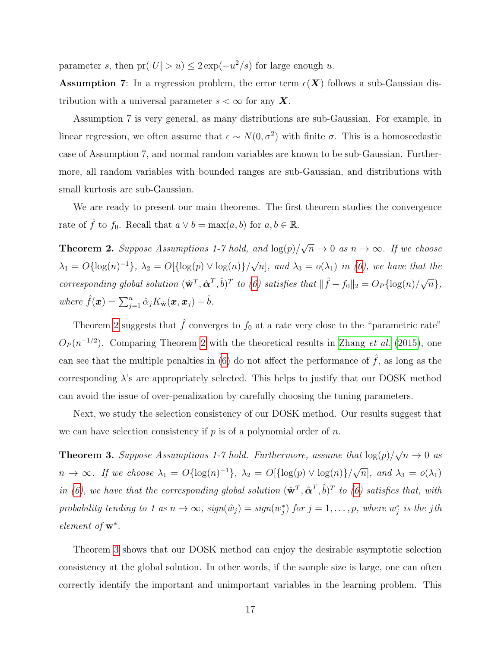parameter s, then  $pr(|U| > u) \leq 2 \exp(-u^2/s)$  for large enough u.

**Assumption 7:** In a regression problem, the error term  $\epsilon(X)$  follows a sub-Gaussian distribution with a universal parameter  $s < \infty$  for any X.

Assumption 7 is very general, as many distributions are sub-Gaussian. For example, in linear regression, we often assume that  $\epsilon \sim N(0, \sigma^2)$  with finite  $\sigma$ . This is a homoscedastic case of Assumption 7, and normal random variables are known to be sub-Gaussian. Furthermore, all random variables with bounded ranges are sub-Gaussian, and distributions with small kurtosis are sub-Gaussian.

We are ready to present our main theorems. The first theorem studies the convergence rate of  $\hat{f}$  to  $f_0$ . Recall that  $a \vee b = \max(a, b)$  for  $a, b \in \mathbb{R}$ .

<span id="page-16-0"></span>**Theorem 2.** Suppose Assumptions 1-7 hold, and  $\log(p)$ / √  $\overline{n} \to 0$  as  $n \to \infty$ . If we choose  $\lambda_1 = O\{\log(n)^{-1}\}, \ \lambda_2 = O\{\{\log(p) \vee \log(n)\}\}/\sqrt{2}$  $\overline{n}$ , and  $\lambda_3 = o(\lambda_1)$  in [\(6\)](#page-7-1), we have that the corresponding global solution  $(\hat{\mathbf{w}}^T, \hat{\mathbf{\alpha}}^T, \hat{b})^T$  to [\(6\)](#page-7-1) satisfies that  $\|\hat{f} - f_0\|_2 = O_P\{\log(n)/\sqrt{\}$  $\overline{n}\},$ where  $\hat{f}(\boldsymbol{x}) = \sum_{j=1}^n \hat{\alpha}_j K_{\hat{\mathbf{w}}}(\boldsymbol{x}, \boldsymbol{x}_j) + \hat{b}$ .

Theorem [2](#page-16-0) suggests that  $\hat{f}$  converges to  $f_0$  at a rate very close to the "parametric rate"  $O_P(n^{-1/2})$ . Comparing Theorem [2](#page-16-0) with the theoretical results in [Zhang](#page-42-7) *et al.* [\(2015\)](#page-42-7), one can see that the multiple penalties in [\(6\)](#page-7-1) do not affect the performance of  $\hat{f}$ , as long as the corresponding  $\lambda$ 's are appropriately selected. This helps to justify that our DOSK method can avoid the issue of over-penalization by carefully choosing the tuning parameters.

Next, we study the selection consistency of our DOSK method. Our results suggest that we can have selection consistency if  $p$  is of a polynomial order of  $n$ .

<span id="page-16-1"></span>**Theorem 3.** Suppose Assumptions 1-7 hold. Furthermore, assume that  $\log(p)/$ √  $\overline{n} \to 0$  as  $n \to \infty$ . If we choose  $\lambda_1 = O\{\log(n)^{-1}\}, \ \lambda_2 = O\{\log(p) \vee \log(n)\}/\sqrt{\frac{n}{n}}$  $\overline{n}$ , and  $\lambda_3 = o(\lambda_1)$ in [\(6\)](#page-7-1), we have that the corresponding global solution  $(\hat{\mathbf{w}}^T, \hat{\mathbf{\alpha}}^T, \hat{b})^T$  to (6) satisfies that, with probability tending to 1 as  $n \to \infty$ ,  $sign(\hat{w}_j) = sign(w_j^*)$  for  $j = 1, ..., p$ , where  $w_j^*$  is the jth element of **w**<sup>\*</sup>.

Theorem [3](#page-16-1) shows that our DOSK method can enjoy the desirable asymptotic selection consistency at the global solution. In other words, if the sample size is large, one can often correctly identify the important and unimportant variables in the learning problem. This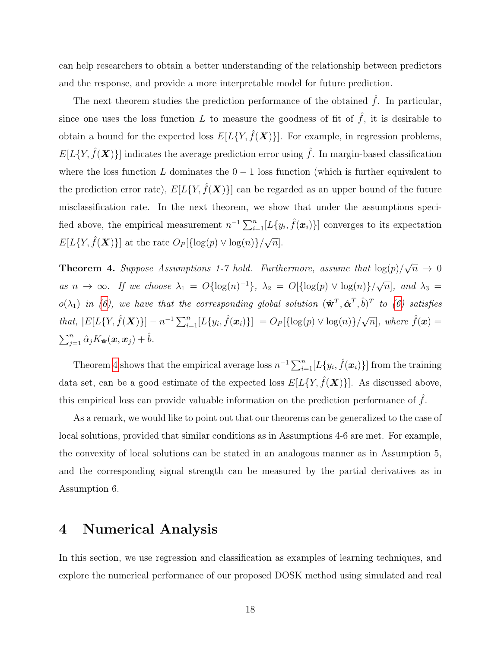can help researchers to obtain a better understanding of the relationship between predictors and the response, and provide a more interpretable model for future prediction.

The next theorem studies the prediction performance of the obtained  $\hat{f}$ . In particular, since one uses the loss function L to measure the goodness of fit of  $\hat{f}$ , it is desirable to obtain a bound for the expected loss  $E[L{Y, \hat{f}(X)}]$ . For example, in regression problems,  $E[L\{Y, \hat{f}(\boldsymbol{X})\}]$  indicates the average prediction error using  $\hat{f}$ . In margin-based classification where the loss function  $L$  dominates the  $0 - 1$  loss function (which is further equivalent to the prediction error rate),  $E[L\{Y, \hat{f}(\boldsymbol{X})\}]$  can be regarded as an upper bound of the future misclassification rate. In the next theorem, we show that under the assumptions specified above, the empirical measurement  $n^{-1} \sum_{i=1}^{n} [L\{y_i, \hat{f}(\boldsymbol{x}_i)\}]$  converges to its expectation  $E[L\{Y, \hat{f}(\boldsymbol{X})\}]$  at the rate  $O_P[\{\log(p) \vee \log(n)\}/\sqrt{\}$  $\overline{n}$ .

<span id="page-17-1"></span>**Theorem 4.** Suppose Assumptions 1-7 hold. Furthermore, assume that  $\log(p)/$ √  $\overline{n} \to 0$ as  $n \to \infty$ . If we choose  $\lambda_1 = O\{\log(n)^{-1}\}, \lambda_2 = O\{\log(p) \vee \log(n)\}/\sqrt{\log(n)}$  $\overline{n}$ ], and  $\lambda_3 =$  $o(\lambda_1)$  in [\(6\)](#page-7-1), we have that the corresponding global solution  $(\hat{\mathbf{w}}^T, \hat{\boldsymbol{\alpha}}^T, \hat{b})^T$  to (6) satisfies that,  $|E[L\{Y, \hat{f}(\boldsymbol{X})\}] - n^{-1} \sum_{i=1}^{n} [L\{y_i, \hat{f}(\boldsymbol{x}_i)\}]| = O_P[\{\log(p) \vee \log(n)\}/\sqrt{n}],$  where  $\hat{f}(\boldsymbol{x}) =$  $\sum_{j=1}^n \hat{\alpha}_j K_{\hat{\mathbf{w}}}(\bm{x},\bm{x}_j) + \hat{b}.$ 

Theorem [4](#page-17-1) shows that the empirical average loss  $n^{-1} \sum_{i=1}^{n} [L\{y_i, \hat{f}(\boldsymbol{x}_i)\}]$  from the training data set, can be a good estimate of the expected loss  $E[L\{Y, \hat{f}(\boldsymbol{X})\}]$ . As discussed above, this empirical loss can provide valuable information on the prediction performance of  $\hat{f}$ .

As a remark, we would like to point out that our theorems can be generalized to the case of local solutions, provided that similar conditions as in Assumptions 4-6 are met. For example, the convexity of local solutions can be stated in an analogous manner as in Assumption 5, and the corresponding signal strength can be measured by the partial derivatives as in Assumption 6.

## <span id="page-17-0"></span>4 Numerical Analysis

In this section, we use regression and classification as examples of learning techniques, and explore the numerical performance of our proposed DOSK method using simulated and real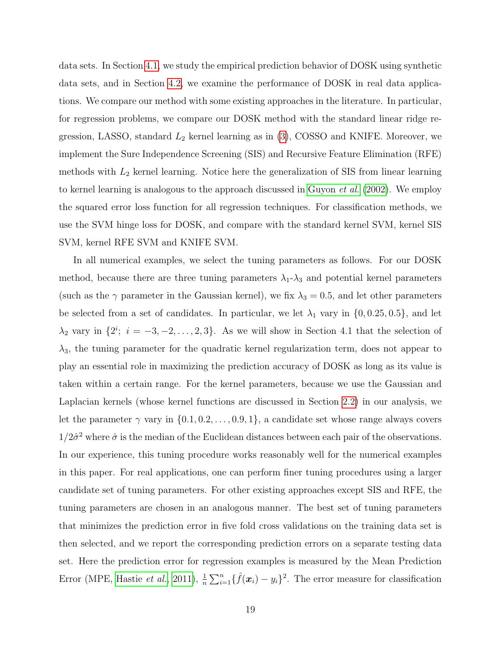data sets. In Section [4.1,](#page-19-0) we study the empirical prediction behavior of DOSK using synthetic data sets, and in Section [4.2,](#page-26-0) we examine the performance of DOSK in real data applications. We compare our method with some existing approaches in the literature. In particular, for regression problems, we compare our DOSK method with the standard linear ridge regression, LASSO, standard  $L_2$  kernel learning as in  $(3)$ , COSSO and KNIFE. Moreover, we implement the Sure Independence Screening (SIS) and Recursive Feature Elimination (RFE) methods with  $L_2$  kernel learning. Notice here the generalization of SIS from linear learning to kernel learning is analogous to the approach discussed in [Guyon](#page-41-4) et al. [\(2002\)](#page-41-4). We employ the squared error loss function for all regression techniques. For classification methods, we use the SVM hinge loss for DOSK, and compare with the standard kernel SVM, kernel SIS SVM, kernel RFE SVM and KNIFE SVM.

In all numerical examples, we select the tuning parameters as follows. For our DOSK method, because there are three tuning parameters  $\lambda_1-\lambda_3$  and potential kernel parameters (such as the  $\gamma$  parameter in the Gaussian kernel), we fix  $\lambda_3 = 0.5$ , and let other parameters be selected from a set of candidates. In particular, we let  $\lambda_1$  vary in  $\{0, 0.25, 0.5\}$ , and let  $\lambda_2$  vary in  $\{2^i; i = -3, -2, \ldots, 2, 3\}$ . As we will show in Section 4.1 that the selection of  $\lambda_3$ , the tuning parameter for the quadratic kernel regularization term, does not appear to play an essential role in maximizing the prediction accuracy of DOSK as long as its value is taken within a certain range. For the kernel parameters, because we use the Gaussian and Laplacian kernels (whose kernel functions are discussed in Section [2.2\)](#page-6-0) in our analysis, we let the parameter  $\gamma$  vary in  $\{0.1, 0.2, \ldots, 0.9, 1\}$ , a candidate set whose range always covers  $1/2\hat{\sigma}^2$  where  $\hat{\sigma}$  is the median of the Euclidean distances between each pair of the observations. In our experience, this tuning procedure works reasonably well for the numerical examples in this paper. For real applications, one can perform finer tuning procedures using a larger candidate set of tuning parameters. For other existing approaches except SIS and RFE, the tuning parameters are chosen in an analogous manner. The best set of tuning parameters that minimizes the prediction error in five fold cross validations on the training data set is then selected, and we report the corresponding prediction errors on a separate testing data set. Here the prediction error for regression examples is measured by the Mean Prediction Error (MPE, [Hastie](#page-41-0) *et al.*, [2011\)](#page-41-0),  $\frac{1}{n}\sum_{i=1}^{n} {\{\hat{f}(\boldsymbol{x}_i) - y_i\}}^2$ . The error measure for classification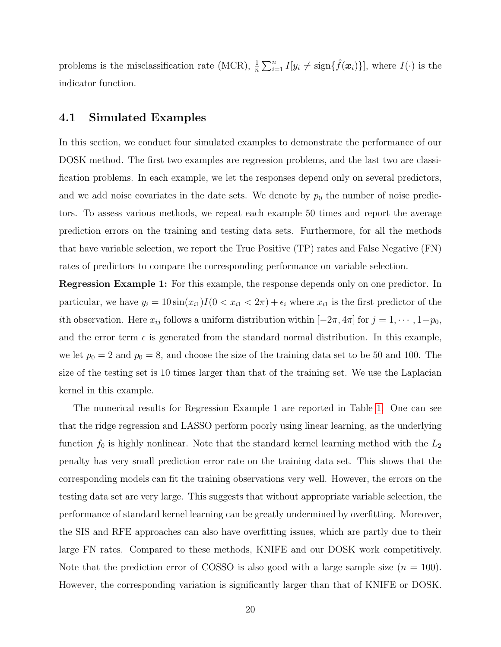problems is the misclassification rate (MCR),  $\frac{1}{n} \sum_{i=1}^{n} I[y_i \neq \text{sign}\{\hat{f}(\boldsymbol{x}_i)\}]$ , where  $I(\cdot)$  is the indicator function.

#### <span id="page-19-0"></span>4.1 Simulated Examples

In this section, we conduct four simulated examples to demonstrate the performance of our DOSK method. The first two examples are regression problems, and the last two are classification problems. In each example, we let the responses depend only on several predictors, and we add noise covariates in the date sets. We denote by  $p_0$  the number of noise predictors. To assess various methods, we repeat each example 50 times and report the average prediction errors on the training and testing data sets. Furthermore, for all the methods that have variable selection, we report the True Positive (TP) rates and False Negative (FN) rates of predictors to compare the corresponding performance on variable selection.

Regression Example 1: For this example, the response depends only on one predictor. In particular, we have  $y_i = 10 \sin(x_{i1})I(0 < x_{i1} < 2\pi) + \epsilon_i$  where  $x_{i1}$  is the first predictor of the ith observation. Here  $x_{ij}$  follows a uniform distribution within  $[-2\pi, 4\pi]$  for  $j = 1, \dots, 1+p_0$ , and the error term  $\epsilon$  is generated from the standard normal distribution. In this example, we let  $p_0 = 2$  and  $p_0 = 8$ , and choose the size of the training data set to be 50 and 100. The size of the testing set is 10 times larger than that of the training set. We use the Laplacian kernel in this example.

The numerical results for Regression Example 1 are reported in Table [1.](#page-20-0) One can see that the ridge regression and LASSO perform poorly using linear learning, as the underlying function  $f_0$  is highly nonlinear. Note that the standard kernel learning method with the  $L_2$ penalty has very small prediction error rate on the training data set. This shows that the corresponding models can fit the training observations very well. However, the errors on the testing data set are very large. This suggests that without appropriate variable selection, the performance of standard kernel learning can be greatly undermined by overfitting. Moreover, the SIS and RFE approaches can also have overfitting issues, which are partly due to their large FN rates. Compared to these methods, KNIFE and our DOSK work competitively. Note that the prediction error of COSSO is also good with a large sample size  $(n = 100)$ . However, the corresponding variation is significantly larger than that of KNIFE or DOSK.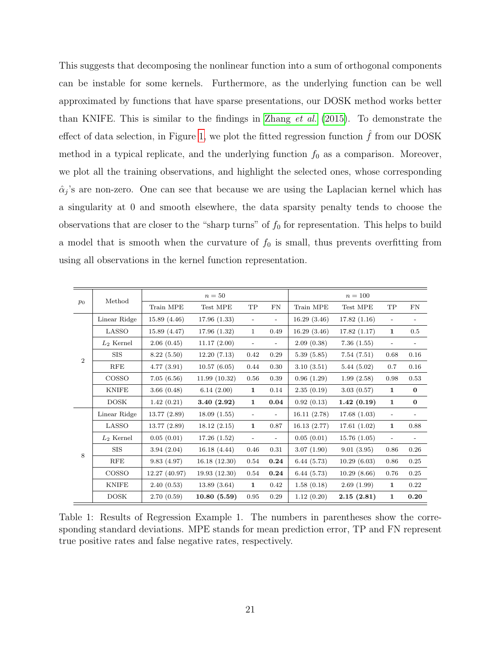This suggests that decomposing the nonlinear function into a sum of orthogonal components can be instable for some kernels. Furthermore, as the underlying function can be well approximated by functions that have sparse presentations, our DOSK method works better than KNIFE. This is similar to the findings in [Zhang](#page-42-7) et al. [\(2015\)](#page-42-7). To demonstrate the effect of data selection, in Figure [1,](#page-21-0) we plot the fitted regression function  $\tilde{f}$  from our DOSK method in a typical replicate, and the underlying function  $f_0$  as a comparison. Moreover, we plot all the training observations, and highlight the selected ones, whose corresponding  $\hat{\alpha}_j$ 's are non-zero. One can see that because we are using the Laplacian kernel which has a singularity at 0 and smooth elsewhere, the data sparsity penalty tends to choose the observations that are closer to the "sharp turns" of  $f_0$  for representation. This helps to build a model that is smooth when the curvature of  $f_0$  is small, thus prevents overfitting from using all observations in the kernel function representation.

|                |              |               | $n=50$       |                          |      | $n = 100$   |                                                                                                                                                                                                                                                 |                          |                          |
|----------------|--------------|---------------|--------------|--------------------------|------|-------------|-------------------------------------------------------------------------------------------------------------------------------------------------------------------------------------------------------------------------------------------------|--------------------------|--------------------------|
| $p_0$          | Method       | Train MPE     | Test MPE     | TP                       | FN   | Train MPE   | Test MPE<br>17.82(1.16)<br>17.82(1.17)<br>7.36(1.55)<br>7.54(7.51)<br>5.44(5.02)<br>1.99(2.58)<br>3.03(0.57)<br>1.42(0.19)<br>17.68(1.03)<br>17.61(1.02)<br>15.76(1.05)<br>9.01(3.95)<br>10.29(6.03)<br>10.29(8.66)<br>2.69(1.99)<br>2.15(2.81) | TP                       | FN                       |
|                | Linear Ridge | 15.89(4.46)   | 17.96(1.33)  |                          |      | 16.29(3.46) |                                                                                                                                                                                                                                                 | $\overline{\phantom{a}}$ |                          |
|                | LASSO        | 15.89(4.47)   | 17.96(1.32)  | $\mathbf{1}$             | 0.49 | 16.29(3.46) |                                                                                                                                                                                                                                                 | 1                        | 0.5                      |
| $\overline{2}$ | $L_2$ Kernel | 2.06(0.45)    | 11.17(2.00)  | $\overline{\phantom{a}}$ |      | 2.09(0.38)  |                                                                                                                                                                                                                                                 | $\overline{\phantom{0}}$ |                          |
|                | <b>SIS</b>   | 8.22(5.50)    | 12.20(7.13)  | 0.42                     | 0.29 | 5.39(5.85)  |                                                                                                                                                                                                                                                 | 0.68                     | 0.16                     |
|                | RFE          | 4.77(3.91)    | 10.57(6.05)  | 0.44                     | 0.30 | 3.10(3.51)  |                                                                                                                                                                                                                                                 | 0.7                      | 0.16                     |
|                | COSSO        | 7.05(6.56)    | 11.99(10.32) | 0.56                     | 0.39 | 0.96(1.29)  |                                                                                                                                                                                                                                                 | 0.98                     | 0.53                     |
|                | <b>KNIFE</b> | 3.66(0.48)    | 6.14(2.00)   | 1                        | 0.14 | 2.35(0.19)  |                                                                                                                                                                                                                                                 | 1                        | $\bf{0}$                 |
|                | <b>DOSK</b>  | 1.42(0.21)    | 3.40(2.92)   | $\mathbf{1}$             | 0.04 | 0.92(0.13)  |                                                                                                                                                                                                                                                 | $\mathbf{1}$             | $\bf{0}$                 |
|                | Linear Ridge | 13.77(2.89)   | 18.09(1.55)  | $\overline{\phantom{0}}$ |      | 16.11(2.78) |                                                                                                                                                                                                                                                 | $\overline{\phantom{a}}$ |                          |
|                | LASSO        | 13.77(2.89)   | 18.12(2.15)  | $\mathbf{1}$             | 0.87 | 16.13(2.77) |                                                                                                                                                                                                                                                 | $\mathbf{1}$             | 0.88                     |
|                | $L_2$ Kernel | 0.05(0.01)    | 17.26(1.52)  | $\overline{\phantom{a}}$ |      | 0.05(0.01)  |                                                                                                                                                                                                                                                 | $\overline{\phantom{a}}$ | $\overline{\phantom{0}}$ |
| 8              | <b>SIS</b>   | 3.94(2.04)    | 16.18(4.44)  | 0.46                     | 0.31 | 3.07(1.90)  |                                                                                                                                                                                                                                                 | 0.86                     | 0.26                     |
|                | <b>RFE</b>   | 9.83(4.97)    | 16.18(12.30) | 0.54                     | 0.24 | 6.44(5.73)  |                                                                                                                                                                                                                                                 | 0.86                     | 0.25                     |
|                | COSSO        | 12.27 (40.97) | 19.93(12.30) | 0.54                     | 0.24 | 6.44(5.73)  |                                                                                                                                                                                                                                                 | 0.76                     | 0.25                     |
|                | <b>KNIFE</b> | 2.40(0.53)    | 13.89(3.64)  | $\mathbf{1}$             | 0.42 | 1.58(0.18)  |                                                                                                                                                                                                                                                 | $\mathbf{1}$             | 0.22                     |
|                | <b>DOSK</b>  | 2.70(0.59)    | 10.80(5.59)  | 0.95                     | 0.29 | 1.12(0.20)  |                                                                                                                                                                                                                                                 | $\mathbf{1}$             | 0.20                     |

<span id="page-20-0"></span>Table 1: Results of Regression Example 1. The numbers in parentheses show the corresponding standard deviations. MPE stands for mean prediction error, TP and FN represent true positive rates and false negative rates, respectively.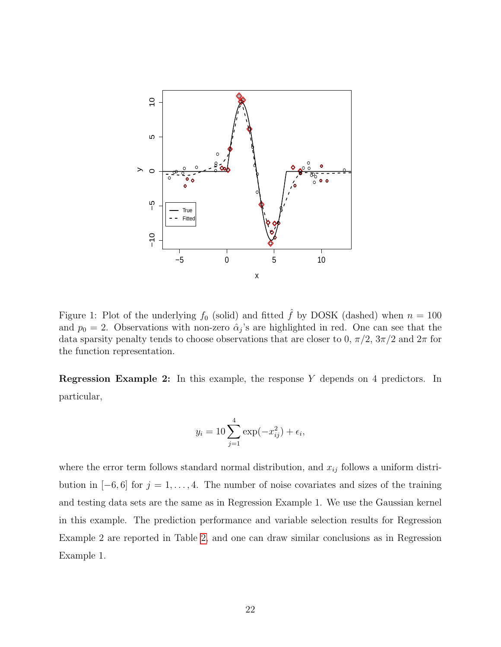

<span id="page-21-0"></span>Figure 1: Plot of the underlying  $f_0$  (solid) and fitted  $\hat{f}$  by DOSK (dashed) when  $n = 100$ and  $p_0 = 2$ . Observations with non-zero  $\hat{\alpha}_j$ 's are highlighted in red. One can see that the data sparsity penalty tends to choose observations that are closer to 0,  $\pi/2$ ,  $3\pi/2$  and  $2\pi$  for the function representation.

Regression Example 2: In this example, the response Y depends on 4 predictors. In particular,

$$
y_i = 10 \sum_{j=1}^{4} \exp(-x_{ij}^2) + \epsilon_i,
$$

where the error term follows standard normal distribution, and  $x_{ij}$  follows a uniform distribution in  $[-6, 6]$  for  $j = 1, \ldots, 4$ . The number of noise covariates and sizes of the training and testing data sets are the same as in Regression Example 1. We use the Gaussian kernel in this example. The prediction performance and variable selection results for Regression Example 2 are reported in Table [2,](#page-22-0) and one can draw similar conclusions as in Regression Example 1.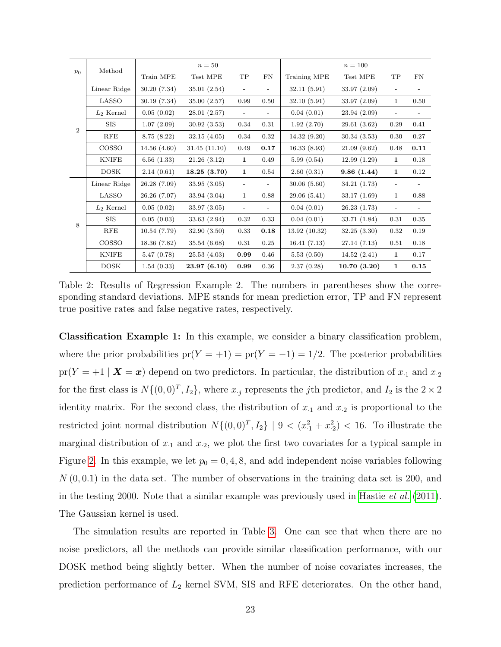|                | Method       |              | $n=50$       |                          |                          | $n = 100$     |              |                          |            |
|----------------|--------------|--------------|--------------|--------------------------|--------------------------|---------------|--------------|--------------------------|------------|
| $p_0$          |              | Train MPE    | Test MPE     | TP                       | FN                       | Training MPE  | Test MPE     | TP                       | ${\rm FN}$ |
|                | Linear Ridge | 30.20(7.34)  | 35.01(2.54)  | $\overline{\phantom{a}}$ |                          | 32.11 (5.91)  | 33.97 (2.09) | $\overline{\phantom{0}}$ |            |
|                | LASSO        | 30.19(7.34)  | 35.00(2.57)  | 0.99                     | 0.50                     | 32.10(5.91)   | 33.97 (2.09) | $\mathbf{1}$             | 0.50       |
|                | $L_2$ Kernel | 0.05(0.02)   | 28.01(2.57)  | $\overline{\phantom{a}}$ | $\overline{\phantom{0}}$ | 0.04(0.01)    | 23.94(2.09)  |                          |            |
| $\overline{2}$ | <b>SIS</b>   | 1.07(2.09)   | 30.92(3.53)  | 0.34                     | 0.31                     | 1.92(2.70)    | 29.61(3.62)  | 0.29                     | 0.41       |
|                | RFE          | 8.75(8.22)   | 32.15(4.05)  | 0.34                     | 0.32                     | 14.32(9.20)   | 30.34(3.53)  | 0.30                     | 0.27       |
|                | COSSO        | 14.56(4.60)  | 31.45(11.10) | 0.49                     | 0.17                     | 16.33(8.93)   | 21.09(9.62)  | 0.48                     | 0.11       |
|                | <b>KNIFE</b> | 6.56(1.33)   | 21.26(3.12)  | 1                        | 0.49                     | 5.99(0.54)    | 12.99(1.29)  | 1                        | 0.18       |
|                | <b>DOSK</b>  | 2.14(0.61)   | 18.25(3.70)  | 1                        | 0.54                     | 2.60(0.31)    | 9.86(1.44)   | 1                        | 0.12       |
|                | Linear Ridge | 26.28(7.09)  | 33.95(3.05)  | $\overline{\phantom{0}}$ |                          | 30.06(5.60)   | 34.21(1.73)  | $\overline{\phantom{a}}$ |            |
|                | LASSO        | 26.26 (7.07) | 33.94 (3.04) | $\mathbf{1}$             | 0.88                     | 29.06 (5.41)  | 33.17 (1.69) | $\mathbf{1}$             | 0.88       |
|                | $L_2$ Kernel | 0.05(0.02)   | 33.97(3.05)  |                          |                          | 0.04(0.01)    | 26.23(1.73)  |                          |            |
| 8              | <b>SIS</b>   | 0.05(0.03)   | 33.63 (2.94) | 0.32                     | 0.33                     | 0.04(0.01)    | 33.71 (1.84) | 0.31                     | 0.35       |
|                | RFE          | 10.54(7.79)  | 32.90(3.50)  | 0.33                     | 0.18                     | 13.92 (10.32) | 32.25(3.30)  | 0.32                     | 0.19       |
|                | COSSO        | 18.36 (7.82) | 35.54 (6.68) | 0.31                     | 0.25                     | 16.41(7.13)   | 27.14(7.13)  | 0.51                     | 0.18       |
|                | <b>KNIFE</b> | 5.47(0.78)   | 25.53(4.03)  | 0.99                     | 0.46                     | 5.53(0.50)    | 14.52(2.41)  | $\mathbf{1}$             | 0.17       |
|                | <b>DOSK</b>  | 1.54(0.33)   | 23.97(6.10)  | 0.99                     | 0.36                     | 2.37(0.28)    | 10.70(3.20)  | 1                        | 0.15       |

<span id="page-22-0"></span>Table 2: Results of Regression Example 2. The numbers in parentheses show the corresponding standard deviations. MPE stands for mean prediction error, TP and FN represent true positive rates and false negative rates, respectively.

Classification Example 1: In this example, we consider a binary classification problem, where the prior probabilities  $pr(Y = +1) = pr(Y = -1) = 1/2$ . The posterior probabilities  $pr(Y = +1 | X = x)$  depend on two predictors. In particular, the distribution of  $x_{\text{-}1}$  and  $x_{\text{-}2}$ for the first class is  $N\{(0,0)^T, I_2\}$ , where  $x_j$  represents the jth predictor, and  $I_2$  is the  $2 \times 2$ identity matrix. For the second class, the distribution of  $x_{\text{-}1}$  and  $x_{\text{-}2}$  is proportional to the restricted joint normal distribution  $N\{(0,0)^T, I_2\}$  | 9 <  $(x_1^2 + x_2^2)$  < 16. To illustrate the marginal distribution of  $x_1$  and  $x_2$ , we plot the first two covariates for a typical sample in Figure [2.](#page-24-0) In this example, we let  $p_0 = 0, 4, 8$ , and add independent noise variables following  $N(0, 0.1)$  in the data set. The number of observations in the training data set is 200, and in the testing 2000. Note that a similar example was previously used in [Hastie](#page-41-0) *et al.* [\(2011\)](#page-41-0). The Gaussian kernel is used.

The simulation results are reported in Table [3.](#page-23-0) One can see that when there are no noise predictors, all the methods can provide similar classification performance, with our DOSK method being slightly better. When the number of noise covariates increases, the prediction performance of  $L_2$  kernel SVM, SIS and RFE deteriorates. On the other hand,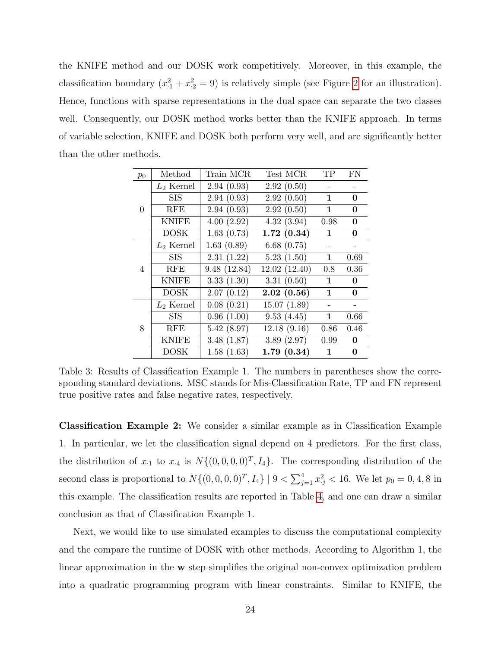the KNIFE method and our DOSK work competitively. Moreover, in this example, the classification boundary  $(x_1^2 + x_2^2 = 9)$  is relatively simple (see Figure [2](#page-24-0) for an illustration). Hence, functions with sparse representations in the dual space can separate the two classes well. Consequently, our DOSK method works better than the KNIFE approach. In terms of variable selection, KNIFE and DOSK both perform very well, and are significantly better than the other methods.

| $p_0$          | Method       | Train MCR   | Test MCR      | <b>TP</b>    | <b>FN</b> |
|----------------|--------------|-------------|---------------|--------------|-----------|
|                | $L_2$ Kernel | 2.94(0.93)  | 2.92(0.50)    |              |           |
|                | SIS          | 2.94(0.93)  | 2.92(0.50)    | $\mathbf 1$  | 0         |
| $\Omega$       | <b>RFE</b>   | 2.94(0.93)  | 2.92(0.50)    | $\mathbf 1$  | 0         |
|                | <b>KNIFE</b> | 4.00(2.92)  | 4.32(3.94)    | 0.98         | 0         |
|                | <b>DOSK</b>  | 1.63(0.73)  | 1.72(0.34)    | $\mathbf 1$  | 0         |
|                | $L_2$ Kernel | 1.63(0.89)  | 6.68(0.75)    |              |           |
|                | SIS          | 2.31(1.22)  | 5.23(1.50)    | $\mathbf 1$  | 0.69      |
| $\overline{4}$ | <b>RFE</b>   | 9.48(12.84) | 12.02 (12.40) | 0.8          | 0.36      |
|                | <b>KNIFE</b> | 3.33(1.30)  | 3.31(0.50)    | $\mathbf{1}$ | 0         |
|                | <b>DOSK</b>  | 2.07(0.12)  | 2.02(0.56)    | $\mathbf{1}$ | 0         |
|                | $L_2$ Kernel | 0.08(0.21)  | 15.07(1.89)   |              |           |
|                | <b>SIS</b>   | 0.96(1.00)  | 9.53(4.45)    | $\mathbf 1$  | 0.66      |
| 8              | <b>RFE</b>   | 5.42(8.97)  | 12.18(9.16)   | 0.86         | 0.46      |
|                | <b>KNIFE</b> | 3.48(1.87)  | 3.89(2.97)    | 0.99         | $\bf{0}$  |
|                | <b>DOSK</b>  | 1.58(1.63)  | 1.79(0.34)    | 1            | 0         |

<span id="page-23-0"></span>Table 3: Results of Classification Example 1. The numbers in parentheses show the corresponding standard deviations. MSC stands for Mis-Classification Rate, TP and FN represent true positive rates and false negative rates, respectively.

Classification Example 2: We consider a similar example as in Classification Example 1. In particular, we let the classification signal depend on 4 predictors. For the first class, the distribution of  $x_{\cdot1}$  to  $x_{\cdot4}$  is  $N\{(0,0,0,0)^T, I_4\}$ . The corresponding distribution of the second class is proportional to  $N\{(0,0,0,0)^T, I_4\}$  | 9 <  $\sum_{j=1}^4 x_j^2$  < 16. We let  $p_0 = 0, 4, 8$  in this example. The classification results are reported in Table [4,](#page-25-0) and one can draw a similar conclusion as that of Classification Example 1.

Next, we would like to use simulated examples to discuss the computational complexity and the compare the runtime of DOSK with other methods. According to Algorithm 1, the linear approximation in the w step simplifies the original non-convex optimization problem into a quadratic programming program with linear constraints. Similar to KNIFE, the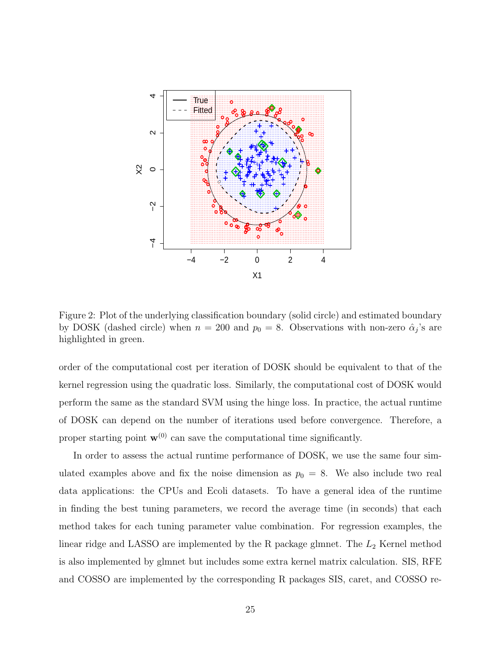

<span id="page-24-0"></span>Figure 2: Plot of the underlying classification boundary (solid circle) and estimated boundary by DOSK (dashed circle) when  $n = 200$  and  $p_0 = 8$ . Observations with non-zero  $\hat{\alpha}_j$ 's are highlighted in green.

order of the computational cost per iteration of DOSK should be equivalent to that of the kernel regression using the quadratic loss. Similarly, the computational cost of DOSK would perform the same as the standard SVM using the hinge loss. In practice, the actual runtime of DOSK can depend on the number of iterations used before convergence. Therefore, a proper starting point  $\mathbf{w}^{(0)}$  can save the computational time significantly.

In order to assess the actual runtime performance of DOSK, we use the same four simulated examples above and fix the noise dimension as  $p_0 = 8$ . We also include two real data applications: the CPUs and Ecoli datasets. To have a general idea of the runtime in finding the best tuning parameters, we record the average time (in seconds) that each method takes for each tuning parameter value combination. For regression examples, the linear ridge and LASSO are implemented by the R package glmnet. The  $L_2$  Kernel method is also implemented by glmnet but includes some extra kernel matrix calculation. SIS, RFE and COSSO are implemented by the corresponding R packages SIS, caret, and COSSO re-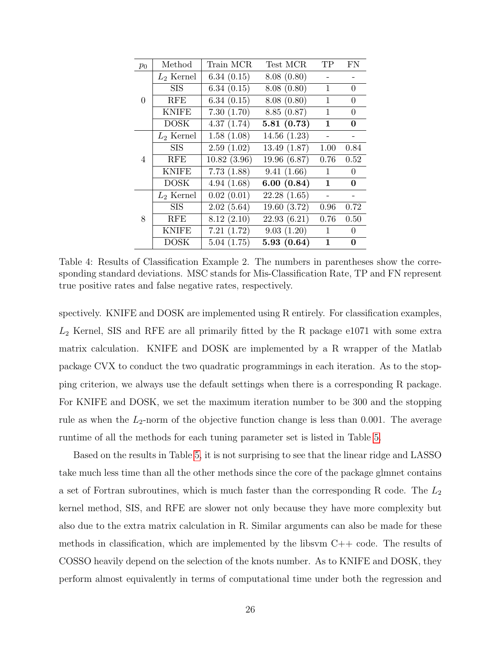| $p_0$          | Method       | Train MCR   | Test MCR     | TP           | FN             |
|----------------|--------------|-------------|--------------|--------------|----------------|
|                | $L_2$ Kernel | 6.34(0.15)  | 8.08(0.80)   |              |                |
|                | SIS          | 6.34(0.15)  | 8.08(0.80)   | $\mathbf{1}$ | $\theta$       |
| $\Omega$       | <b>RFE</b>   | 6.34(0.15)  | 8.08(0.80)   | $\mathbf{1}$ | $\overline{0}$ |
|                | <b>KNIFE</b> | 7.30(1.70)  | 8.85(0.87)   | 1            | $\theta$       |
|                | <b>DOSK</b>  | 4.37(1.74)  | 5.81(0.73)   | $\mathbf{1}$ | 0              |
|                | $L_2$ Kernel | 1.58(1.08)  | 14.56(1.23)  |              |                |
|                | SIS          | 2.59(1.02)  | 13.49(1.87)  | 1.00         | 0.84           |
| $\overline{4}$ | <b>RFE</b>   | 10.82(3.96) | 19.96 (6.87) | 0.76         | 0.52           |
|                | <b>KNIFE</b> | 7.73(1.88)  | 9.41(1.66)   | $\mathbf{1}$ | $\theta$       |
|                | <b>DOSK</b>  | 4.94(1.68)  | 6.00(0.84)   | $\mathbf 1$  | 0              |
|                | $L_2$ Kernel | 0.02(0.01)  | 22.28(1.65)  |              |                |
|                | <b>SIS</b>   | 2.02(5.64)  | 19.60(3.72)  | 0.96         | 0.72           |
| 8              | <b>RFE</b>   | 8.12(2.10)  | 22.93(6.21)  | 0.76         | 0.50           |
|                | <b>KNIFE</b> | 7.21(1.72)  | 9.03(1.20)   | $\mathbf{1}$ | $\theta$       |
|                | <b>DOSK</b>  | 5.04(1.75)  | 5.93(0.64)   | $\mathbf{1}$ | $\bf{0}$       |

<span id="page-25-0"></span>Table 4: Results of Classification Example 2. The numbers in parentheses show the corresponding standard deviations. MSC stands for Mis-Classification Rate, TP and FN represent true positive rates and false negative rates, respectively.

spectively. KNIFE and DOSK are implemented using R entirely. For classification examples,  $L_2$  Kernel, SIS and RFE are all primarily fitted by the R package e1071 with some extra matrix calculation. KNIFE and DOSK are implemented by a R wrapper of the Matlab package CVX to conduct the two quadratic programmings in each iteration. As to the stopping criterion, we always use the default settings when there is a corresponding R package. For KNIFE and DOSK, we set the maximum iteration number to be 300 and the stopping rule as when the  $L_2$ -norm of the objective function change is less than 0.001. The average runtime of all the methods for each tuning parameter set is listed in Table [5.](#page-28-0)

Based on the results in Table [5,](#page-28-0) it is not surprising to see that the linear ridge and LASSO take much less time than all the other methods since the core of the package glmnet contains a set of Fortran subroutines, which is much faster than the corresponding R code. The  $L_2$ kernel method, SIS, and RFE are slower not only because they have more complexity but also due to the extra matrix calculation in R. Similar arguments can also be made for these methods in classification, which are implemented by the libsvm  $C++$  code. The results of COSSO heavily depend on the selection of the knots number. As to KNIFE and DOSK, they perform almost equivalently in terms of computational time under both the regression and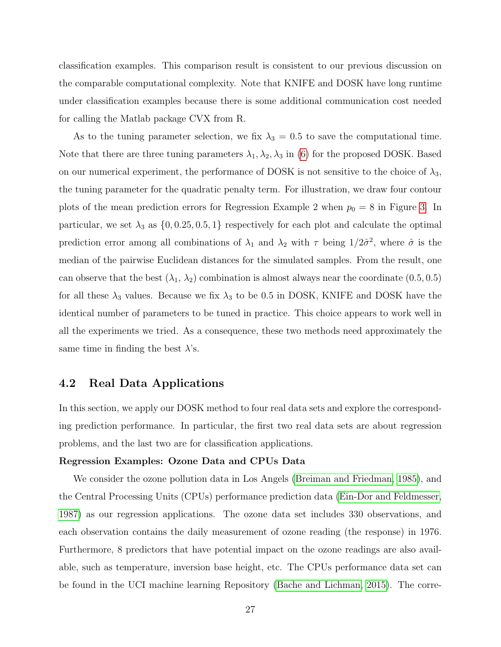classification examples. This comparison result is consistent to our previous discussion on the comparable computational complexity. Note that KNIFE and DOSK have long runtime under classification examples because there is some additional communication cost needed for calling the Matlab package CVX from R.

As to the tuning parameter selection, we fix  $\lambda_3 = 0.5$  to save the computational time. Note that there are three tuning parameters  $\lambda_1, \lambda_2, \lambda_3$  in [\(6\)](#page-7-1) for the proposed DOSK. Based on our numerical experiment, the performance of DOSK is not sensitive to the choice of  $\lambda_3$ , the tuning parameter for the quadratic penalty term. For illustration, we draw four contour plots of the mean prediction errors for Regression Example 2 when  $p_0 = 8$  in Figure [3.](#page-43-0) In particular, we set  $\lambda_3$  as  $\{0, 0.25, 0.5, 1\}$  respectively for each plot and calculate the optimal prediction error among all combinations of  $\lambda_1$  and  $\lambda_2$  with  $\tau$  being  $1/2\hat{\sigma}^2$ , where  $\hat{\sigma}$  is the median of the pairwise Euclidean distances for the simulated samples. From the result, one can observe that the best  $(\lambda_1, \lambda_2)$  combination is almost always near the coordinate  $(0.5, 0.5)$ for all these  $\lambda_3$  values. Because we fix  $\lambda_3$  to be 0.5 in DOSK, KNIFE and DOSK have the identical number of parameters to be tuned in practice. This choice appears to work well in all the experiments we tried. As a consequence, these two methods need approximately the same time in finding the best  $\lambda$ 's.

### <span id="page-26-0"></span>4.2 Real Data Applications

In this section, we apply our DOSK method to four real data sets and explore the corresponding prediction performance. In particular, the first two real data sets are about regression problems, and the last two are for classification applications.

#### Regression Examples: Ozone Data and CPUs Data

We consider the ozone pollution data in Los Angels [\(Breiman and Friedman, 1985\)](#page-40-12), and the Central Processing Units (CPUs) performance prediction data [\(Ein-Dor and Feldmesser,](#page-40-13) [1987\)](#page-40-13) as our regression applications. The ozone data set includes 330 observations, and each observation contains the daily measurement of ozone reading (the response) in 1976. Furthermore, 8 predictors that have potential impact on the ozone readings are also available, such as temperature, inversion base height, etc. The CPUs performance data set can be found in the UCI machine learning Repository [\(Bache and Lichman, 2015\)](#page-40-14). The corre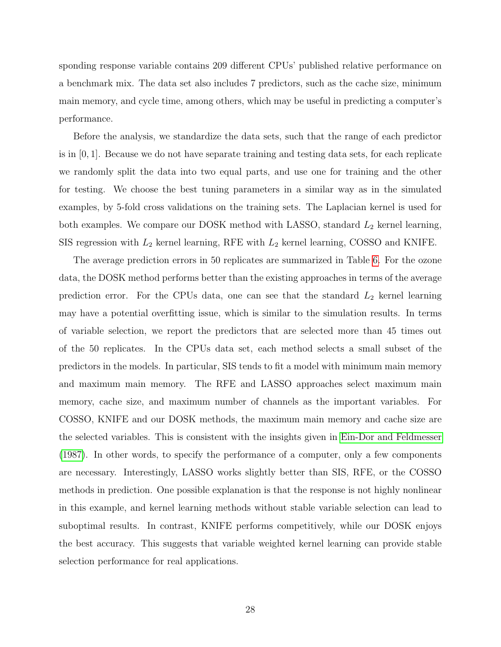sponding response variable contains 209 different CPUs' published relative performance on a benchmark mix. The data set also includes 7 predictors, such as the cache size, minimum main memory, and cycle time, among others, which may be useful in predicting a computer's performance.

Before the analysis, we standardize the data sets, such that the range of each predictor is in  $[0, 1]$ . Because we do not have separate training and testing data sets, for each replicate we randomly split the data into two equal parts, and use one for training and the other for testing. We choose the best tuning parameters in a similar way as in the simulated examples, by 5-fold cross validations on the training sets. The Laplacian kernel is used for both examples. We compare our DOSK method with LASSO, standard  $L_2$  kernel learning, SIS regression with  $L_2$  kernel learning, RFE with  $L_2$  kernel learning, COSSO and KNIFE.

The average prediction errors in 50 replicates are summarized in Table [6.](#page-28-1) For the ozone data, the DOSK method performs better than the existing approaches in terms of the average prediction error. For the CPUs data, one can see that the standard  $L_2$  kernel learning may have a potential overfitting issue, which is similar to the simulation results. In terms of variable selection, we report the predictors that are selected more than 45 times out of the 50 replicates. In the CPUs data set, each method selects a small subset of the predictors in the models. In particular, SIS tends to fit a model with minimum main memory and maximum main memory. The RFE and LASSO approaches select maximum main memory, cache size, and maximum number of channels as the important variables. For COSSO, KNIFE and our DOSK methods, the maximum main memory and cache size are the selected variables. This is consistent with the insights given in [Ein-Dor and Feldmesser](#page-40-13) [\(1987\)](#page-40-13). In other words, to specify the performance of a computer, only a few components are necessary. Interestingly, LASSO works slightly better than SIS, RFE, or the COSSO methods in prediction. One possible explanation is that the response is not highly nonlinear in this example, and kernel learning methods without stable variable selection can lead to suboptimal results. In contrast, KNIFE performs competitively, while our DOSK enjoys the best accuracy. This suggests that variable weighted kernel learning can provide stable selection performance for real applications.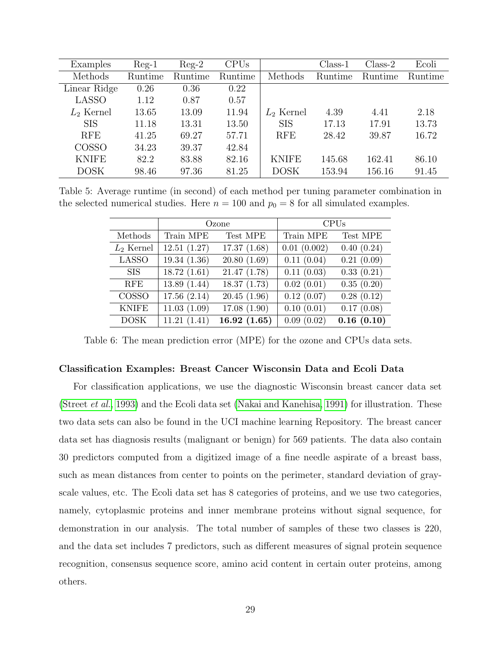| Examples     | $Reg-1$ | $Reg-2$ | CPUs    |              | $Class-1$ | $Class-2$ | Ecoli   |
|--------------|---------|---------|---------|--------------|-----------|-----------|---------|
| Methods      | Runtime | Runtime | Runtime | Methods      | Runtime   | Runtime   | Runtime |
| Linear Ridge | 0.26    | 0.36    | 0.22    |              |           |           |         |
| <b>LASSO</b> | 1.12    | 0.87    | 0.57    |              |           |           |         |
| $L_2$ Kernel | 13.65   | 13.09   | 11.94   | $L_2$ Kernel | 4.39      | 4.41      | 2.18    |
| <b>SIS</b>   | 11.18   | 13.31   | 13.50   | <b>SIS</b>   | 17.13     | 17.91     | 13.73   |
| <b>RFE</b>   | 41.25   | 69.27   | 57.71   | <b>RFE</b>   | 28.42     | 39.87     | 16.72   |
| COSSO        | 34.23   | 39.37   | 42.84   |              |           |           |         |
| <b>KNIFE</b> | 82.2    | 83.88   | 82.16   | <b>KNIFE</b> | 145.68    | 162.41    | 86.10   |
| <b>DOSK</b>  | 98.46   | 97.36   | 81.25   | <b>DOSK</b>  | 153.94    | 156.16    | 91.45   |

Table 5: Average runtime (in second) of each method per tuning parameter combination in the selected numerical studies. Here  $n = 100$  and  $p_0 = 8$  for all simulated examples.

<span id="page-28-0"></span>

|              |             | Ozone       | <b>CPUs</b> |            |  |
|--------------|-------------|-------------|-------------|------------|--|
| Methods      | Train MPE   | Test MPE    | Train MPE   | Test MPE   |  |
| $L_2$ Kernel | 12.51(1.27) | 17.37(1.68) | 0.01(0.002) | 0.40(0.24) |  |
| <b>LASSO</b> | 19.34(1.36) | 20.80(1.69) | 0.11(0.04)  | 0.21(0.09) |  |
| <b>SIS</b>   | 18.72(1.61) | 21.47(1.78) | 0.11(0.03)  | 0.33(0.21) |  |
| <b>RFE</b>   | 13.89(1.44) | 18.37(1.73) | 0.02(0.01)  | 0.35(0.20) |  |
| <b>COSSO</b> | 17.56(2.14) | 20.45(1.96) | 0.12(0.07)  | 0.28(0.12) |  |
| <b>KNIFE</b> | 11.03(1.09) | 17.08(1.90) | 0.10(0.01)  | 0.17(0.08) |  |
| <b>DOSK</b>  | 11.21(1.41) | 16.92(1.65) | 0.09(0.02)  | 0.16(0.10) |  |

<span id="page-28-1"></span>Table 6: The mean prediction error (MPE) for the ozone and CPUs data sets.

#### Classification Examples: Breast Cancer Wisconsin Data and Ecoli Data

For classification applications, we use the diagnostic Wisconsin breast cancer data set [\(Street](#page-42-12) et al., [1993\)](#page-42-12) and the Ecoli data set [\(Nakai and Kanehisa, 1991\)](#page-41-12) for illustration. These two data sets can also be found in the UCI machine learning Repository. The breast cancer data set has diagnosis results (malignant or benign) for 569 patients. The data also contain 30 predictors computed from a digitized image of a fine needle aspirate of a breast bass, such as mean distances from center to points on the perimeter, standard deviation of grayscale values, etc. The Ecoli data set has 8 categories of proteins, and we use two categories, namely, cytoplasmic proteins and inner membrane proteins without signal sequence, for demonstration in our analysis. The total number of samples of these two classes is 220, and the data set includes 7 predictors, such as different measures of signal protein sequence recognition, consensus sequence score, amino acid content in certain outer proteins, among others.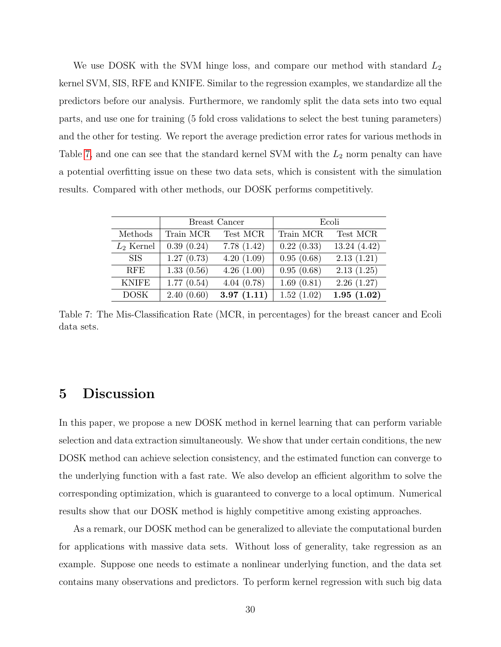We use DOSK with the SVM hinge loss, and compare our method with standard  $L_2$ kernel SVM, SIS, RFE and KNIFE. Similar to the regression examples, we standardize all the predictors before our analysis. Furthermore, we randomly split the data sets into two equal parts, and use one for training (5 fold cross validations to select the best tuning parameters) and the other for testing. We report the average prediction error rates for various methods in Table [7,](#page-29-1) and one can see that the standard kernel SVM with the  $L_2$  norm penalty can have a potential overfitting issue on these two data sets, which is consistent with the simulation results. Compared with other methods, our DOSK performs competitively.

|              |            | Breast Cancer | Ecoli      |             |  |
|--------------|------------|---------------|------------|-------------|--|
| Methods      | Train MCR  | Test MCR      | Train MCR  | Test MCR    |  |
| $L_2$ Kernel | 0.39(0.24) | 7.78(1.42)    | 0.22(0.33) | 13.24(4.42) |  |
| <b>SIS</b>   | 1.27(0.73) | 4.20(1.09)    | 0.95(0.68) | 2.13(1.21)  |  |
| <b>RFE</b>   | 1.33(0.56) | 4.26(1.00)    | 0.95(0.68) | 2.13(1.25)  |  |
| <b>KNIFE</b> | 1.77(0.54) | 4.04(0.78)    | 1.69(0.81) | 2.26(1.27)  |  |
| <b>DOSK</b>  | 2.40(0.60) | 3.97(1.11)    | 1.52(1.02) | 1.95(1.02)  |  |

<span id="page-29-1"></span>Table 7: The Mis-Classification Rate (MCR, in percentages) for the breast cancer and Ecoli data sets.

## <span id="page-29-0"></span>5 Discussion

In this paper, we propose a new DOSK method in kernel learning that can perform variable selection and data extraction simultaneously. We show that under certain conditions, the new DOSK method can achieve selection consistency, and the estimated function can converge to the underlying function with a fast rate. We also develop an efficient algorithm to solve the corresponding optimization, which is guaranteed to converge to a local optimum. Numerical results show that our DOSK method is highly competitive among existing approaches.

As a remark, our DOSK method can be generalized to alleviate the computational burden for applications with massive data sets. Without loss of generality, take regression as an example. Suppose one needs to estimate a nonlinear underlying function, and the data set contains many observations and predictors. To perform kernel regression with such big data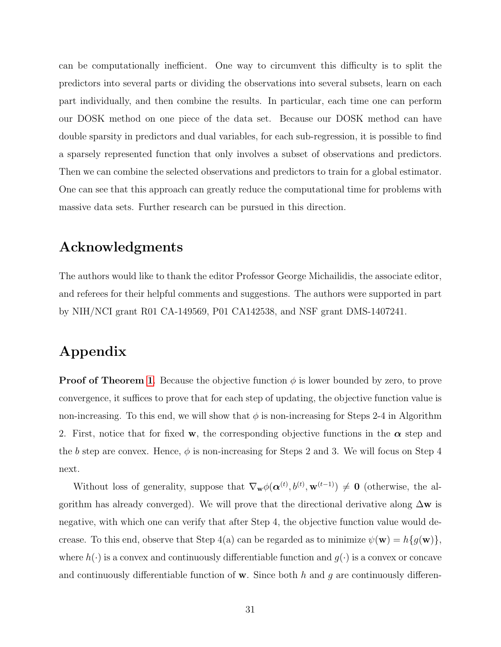can be computationally inefficient. One way to circumvent this difficulty is to split the predictors into several parts or dividing the observations into several subsets, learn on each part individually, and then combine the results. In particular, each time one can perform our DOSK method on one piece of the data set. Because our DOSK method can have double sparsity in predictors and dual variables, for each sub-regression, it is possible to find a sparsely represented function that only involves a subset of observations and predictors. Then we can combine the selected observations and predictors to train for a global estimator. One can see that this approach can greatly reduce the computational time for problems with massive data sets. Further research can be pursued in this direction.

## Acknowledgments

The authors would like to thank the editor Professor George Michailidis, the associate editor, and referees for their helpful comments and suggestions. The authors were supported in part by NIH/NCI grant R01 CA-149569, P01 CA142538, and NSF grant DMS-1407241.

# Appendix

**Proof of Theorem [1](#page-10-0).** Because the objective function  $\phi$  is lower bounded by zero, to prove convergence, it suffices to prove that for each step of updating, the objective function value is non-increasing. To this end, we will show that  $\phi$  is non-increasing for Steps 2-4 in Algorithm 2. First, notice that for fixed w, the corresponding objective functions in the  $\alpha$  step and the b step are convex. Hence,  $\phi$  is non-increasing for Steps 2 and 3. We will focus on Step 4 next.

Without loss of generality, suppose that  $\nabla_{\mathbf{w}} \phi(\boldsymbol{\alpha}^{(t)}, b^{(t)}, \mathbf{w}^{(t-1)}) \neq \mathbf{0}$  (otherwise, the algorithm has already converged). We will prove that the directional derivative along  $\Delta \mathbf{w}$  is negative, with which one can verify that after Step 4, the objective function value would decrease. To this end, observe that Step 4(a) can be regarded as to minimize  $\psi(\mathbf{w}) = h\{g(\mathbf{w})\},\$ where  $h(\cdot)$  is a convex and continuously differentiable function and  $g(\cdot)$  is a convex or concave and continuously differentiable function of  $\bf{w}$ . Since both h and g are continuously differen-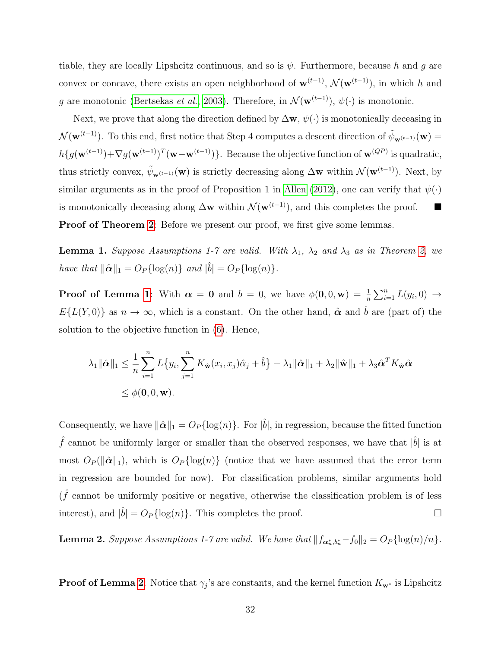tiable, they are locally Lipshcitz continuous, and so is  $\psi$ . Furthermore, because h and g are convex or concave, there exists an open neighborhood of  $\mathbf{w}^{(t-1)}$ ,  $\mathcal{N}(\mathbf{w}^{(t-1)})$ , in which h and g are monotonic [\(Bertsekas](#page-40-15) et al., [2003\)](#page-40-15). Therefore, in  $\mathcal{N}(\mathbf{w}^{(t-1)})$ ,  $\psi(\cdot)$  is monotonic.

Next, we prove that along the direction defined by  $\Delta w$ ,  $\psi(\cdot)$  is monotonically deceasing in  $\mathcal{N}(\mathbf{w}^{(t-1)})$ . To this end, first notice that Step 4 computes a descent direction of  $\tilde{\psi}_{\mathbf{w}^{(t-1)}}(\mathbf{w}) =$  $h\{g(\mathbf{w}^{(t-1)})+\nabla g(\mathbf{w}^{(t-1)})^T(\mathbf{w}-\mathbf{w}^{(t-1)})\}\.$  Because the objective function of  $\mathbf{w}^{(QP)}$  is quadratic, thus strictly convex,  $\tilde{\psi}_{\mathbf{w}^{(t-1)}}(\mathbf{w})$  is strictly decreasing along  $\Delta \mathbf{w}$  within  $\mathcal{N}(\mathbf{w}^{(t-1)})$ . Next, by similar arguments as in the proof of Proposition 1 in [Allen](#page-40-6) [\(2012\)](#page-40-6), one can verify that  $\psi(\cdot)$ is monotonically deceasing along  $\Delta$ w within  $\mathcal{N}(w^{(t-1)})$ , and this completes the proof. ■ Proof of Theorem [2](#page-16-0): Before we present our proof, we first give some lemmas.

<span id="page-31-1"></span>**Lemma 1.** Suppose Assumptions 1-7 are valid. With  $\lambda_1$ ,  $\lambda_2$  and  $\lambda_3$  as in Theorem [2,](#page-16-0) we have that  $\|\hat{\boldsymbol{\alpha}}\|_1 = O_P{\log(n)}\$  and  $|\hat{b}| = O_P{\log(n)}$ .

**Proof of Lemma [1](#page-31-1)**: With  $\alpha = 0$  and  $b = 0$ , we have  $\phi(0,0,\mathbf{w}) = \frac{1}{n} \sum_{i=1}^{n} L(y_i,0) \rightarrow$  $E\{L(Y,0)\}\$ as  $n \to \infty$ , which is a constant. On the other hand,  $\hat{\boldsymbol{\alpha}}$  and  $\hat{\boldsymbol{b}}$  are (part of) the solution to the objective function in [\(6\)](#page-7-1). Hence,

$$
\lambda_1 \|\hat{\boldsymbol{\alpha}}\|_1 \leq \frac{1}{n} \sum_{i=1}^n L\{y_i, \sum_{j=1}^n K_{\hat{\mathbf{w}}}(x_i, x_j)\hat{\alpha}_j + \hat{b}\} + \lambda_1 \|\hat{\boldsymbol{\alpha}}\|_1 + \lambda_2 \|\hat{\mathbf{w}}\|_1 + \lambda_3 \hat{\boldsymbol{\alpha}}^T K_{\hat{\mathbf{w}}}\hat{\boldsymbol{\alpha}}\n\n\leq \phi(\mathbf{0}, 0, \mathbf{w}).
$$

Consequently, we have  $\|\hat{\boldsymbol{\alpha}}\|_1 = O_P{\log(n)}$ . For  $|\hat{b}|$ , in regression, because the fitted function  $\hat{f}$  cannot be uniformly larger or smaller than the observed responses, we have that  $|\hat{b}|$  is at most  $O_P(\|\hat{\boldsymbol{\alpha}}\|_1)$ , which is  $O_P\{\log(n)\}\$  (notice that we have assumed that the error term in regression are bounded for now). For classification problems, similar arguments hold  $(\hat{f}$  cannot be uniformly positive or negative, otherwise the classification problem is of less interest), and  $|\hat{b}| = O_P{\log(n)}$ . This completes the proof.

<span id="page-31-0"></span>**Lemma 2.** Suppose Assumptions 1-7 are valid. We have that  $||f_{\alpha_n^*,b_n^*} - f_0||_2 = O_P\{\log(n)/n\}$ .

**Proof of Lemma [2](#page-31-0)**: Notice that  $\gamma_j$ 's are constants, and the kernel function  $K_{\mathbf{w}^*}$  is Lipshcitz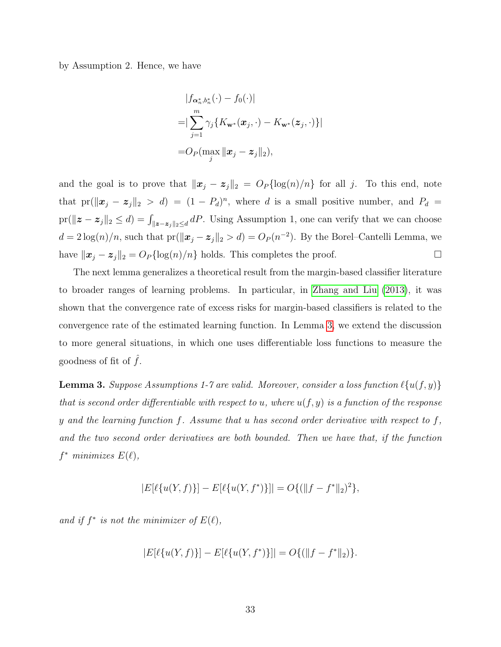by Assumption 2. Hence, we have

$$
|f_{\boldsymbol{\alpha}_n^*,b_n^*}(\cdot) - f_0(\cdot)|
$$
  
= 
$$
|\sum_{j=1}^m \gamma_j \{ K_{\mathbf{w}^*}(\boldsymbol{x}_j, \cdot) - K_{\mathbf{w}^*}(\boldsymbol{z}_j, \cdot) \} |
$$
  
= 
$$
O_P(\max_j \|\boldsymbol{x}_j - \boldsymbol{z}_j\|_2),
$$

and the goal is to prove that  $\|\boldsymbol{x}_j - \boldsymbol{z}_j\|_2 = O_P{\log(n)/n}$  for all j. To this end, note that  $pr(\|\boldsymbol{x}_j - \boldsymbol{z}_j\|_2 > d) = (1 - P_d)^n$ , where d is a small positive number, and  $P_d =$  $\text{pr}(\|\boldsymbol{z}-\boldsymbol{z}_j\|_2 \le d) = \int_{\|\boldsymbol{z}-\boldsymbol{z}_j\|_2 \le d} dP$ . Using Assumption 1, one can verify that we can choose  $d = 2\log(n)/n$ , such that  $pr(\|\boldsymbol{x}_j - \boldsymbol{z}_j\|_2 > d) = O_P(n^{-2})$ . By the Borel–Cantelli Lemma, we have  $\|\boldsymbol{x}_j - \boldsymbol{z}_j\|_2 = O_P \{\log(n)/n\}$  holds. This completes the proof.  $\Box$ 

The next lemma generalizes a theoretical result from the margin-based classifier literature to broader ranges of learning problems. In particular, in [Zhang and Liu](#page-42-13) [\(2013\)](#page-42-13), it was shown that the convergence rate of excess risks for margin-based classifiers is related to the convergence rate of the estimated learning function. In Lemma [3,](#page-32-0) we extend the discussion to more general situations, in which one uses differentiable loss functions to measure the goodness of fit of  $\hat{f}$ .

<span id="page-32-0"></span>**Lemma 3.** Suppose Assumptions 1-7 are valid. Moreover, consider a loss function  $\ell\{u(f, y)\}$ that is second order differentiable with respect to u, where  $u(f, y)$  is a function of the response y and the learning function f. Assume that u has second order derivative with respect to f, and the two second order derivatives are both bounded. Then we have that, if the function  $f^*$  minimizes  $E(\ell)$ ,

$$
|E[\ell\{u(Y,f)\}]-E[\ell\{u(Y,f^*)\}]|=O\{(\|f-f^*\|_2)^2\},\
$$

and if  $f^*$  is not the minimizer of  $E(\ell)$ ,

$$
|E[\ell\{u(Y,f)\}] - E[\ell\{u(Y,f^*)\}]| = O\{(\|f-f^*\|_2)\}.
$$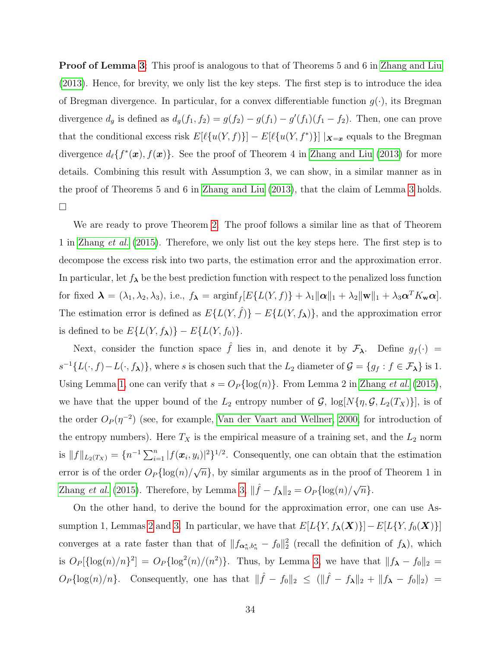**Proof of Lemma [3](#page-32-0):** This proof is analogous to that of Theorems 5 and 6 in [Zhang and Liu](#page-42-13) [\(2013\)](#page-42-13). Hence, for brevity, we only list the key steps. The first step is to introduce the idea of Bregman divergence. In particular, for a convex differentiable function  $g(\cdot)$ , its Bregman divergence  $d_g$  is defined as  $d_g(f_1, f_2) = g(f_2) - g(f_1) - g'(f_1)(f_1 - f_2)$ . Then, one can prove that the conditional excess risk  $E[\ell\{u(Y,f)\}] - E[\ell\{u(Y,f^*)\}] |_{\mathbf{X}=\mathbf{x}}$  equals to the Bregman divergence  $d_{\ell} \{f^*(\bm{x}), f(\bm{x})\}$ . See the proof of Theorem 4 in [Zhang and Liu](#page-42-13) [\(2013\)](#page-42-13) for more details. Combining this result with Assumption 3, we can show, in a similar manner as in the proof of Theorems 5 and 6 in [Zhang and Liu](#page-42-13) [\(2013\)](#page-42-13), that the claim of Lemma [3](#page-32-0) holds.  $\Box$ 

We are ready to prove Theorem [2.](#page-16-0) The proof follows a similar line as that of Theorem 1 in [Zhang](#page-42-7) et al. [\(2015\)](#page-42-7). Therefore, we only list out the key steps here. The first step is to decompose the excess risk into two parts, the estimation error and the approximation error. In particular, let  $f_{\lambda}$  be the best prediction function with respect to the penalized loss function for fixed  $\mathbf{\lambda} = (\lambda_1, \lambda_2, \lambda_3)$ , i.e.,  $f_{\mathbf{\lambda}} = \operatorname{arginf}_f [E\{L(Y, f)\} + \lambda_1 ||\mathbf{\alpha}||_1 + \lambda_2 ||\mathbf{w}||_1 + \lambda_3 \mathbf{\alpha}^T K_{\mathbf{w}} \mathbf{\alpha}]$ . The estimation error is defined as  $E\{L(Y, \hat{f})\} - E\{L(Y, f_{\lambda})\}$ , and the approximation error is defined to be  $E\{L(Y, f_{\lambda})\} - E\{L(Y, f_0)\}.$ 

Next, consider the function space  $\hat{f}$  lies in, and denote it by  $\mathcal{F}_{\lambda}$ . Define  $g_f(\cdot)$  =  $s^{-1}{L(\cdot,f)-L(\cdot,f_{\lambda})}$ , where s is chosen such that the  $L_2$  diameter of  $\mathcal{G} = \{g_f : f \in \mathcal{F}_{\lambda}\}\$ is 1. Using Lemma [1,](#page-31-1) one can verify that  $s = O_P\{\log(n)\}\$ . From Lemma 2 in [Zhang](#page-42-7) *et al.* [\(2015\)](#page-42-7), we have that the upper bound of the  $L_2$  entropy number of  $\mathcal{G}$ ,  $\log[N\{\eta, \mathcal{G}, L_2(T_X)\}]$ , is of the order  $O_P(\eta^{-2})$  (see, for example, [Van der Vaart and Wellner, 2000,](#page-42-14) for introduction of the entropy numbers). Here  $T_X$  is the empirical measure of a training set, and the  $L_2$  norm is  $||f||_{L_2(T_X)} = \{n^{-1}\sum_{i=1}^n |f(\boldsymbol{x}_i, y_i)|^2\}^{1/2}$ . Consequently, one can obtain that the estimation error is of the order  $O_P\{\log(n)/\}$ √  $\overline{n}$ , by similar arguments as in the proof of Theorem 1 in [Zhang](#page-42-7) *et al.* [\(2015\)](#page-42-7). Therefore, by Lemma [3,](#page-32-0)  $\|\hat{f} - f_{\lambda}\|_2 = O_P\{\log(n)/\sqrt{\}$  $\overline{n}$ .

On the other hand, to derive the bound for the approximation error, one can use As-sumption 1, Lemmas [2](#page-31-0) and [3.](#page-32-0) In particular, we have that  $E[L{Y, f_{\lambda}(X)}]$  –  $E[L{Y, f_0(X)}]$ converges at a rate faster than that of  $||f_{\alpha_n^*,b_n^*} - f_0||_2^2$  (recall the definition of  $f_{\lambda}$ ), which is  $O_P[\{\log(n)/n\}^2] = O_P\{\log^2(n)/(n^2)\}\$ . Thus, by Lemma [3,](#page-32-0) we have that  $||f_{\lambda} - f_0||_2 =$  $O_P\{\log(n)/n\}$ . Consequently, one has that  $\|\hat{f} - f_0\|_2 \leq (\|\hat{f} - f_\lambda\|_2 + \|f_\lambda - f_0\|_2) =$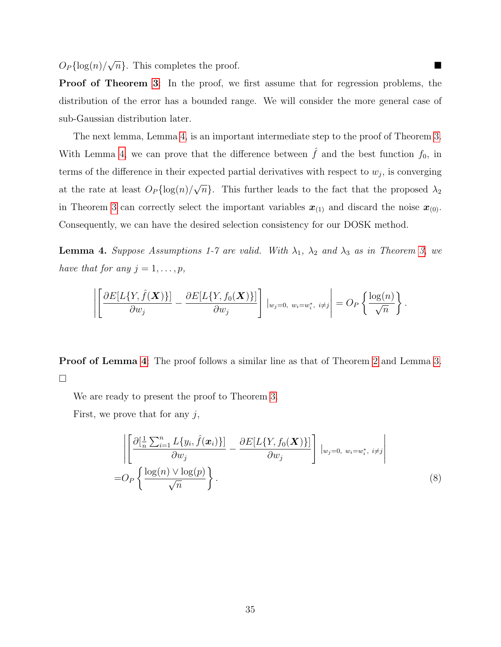$O_P\{\log(n)/$  $\sqrt{n}$ . This completes the proof.

Proof of Theorem [3](#page-16-1): In the proof, we first assume that for regression problems, the distribution of the error has a bounded range. We will consider the more general case of sub-Gaussian distribution later.

The next lemma, Lemma [4,](#page-34-0) is an important intermediate step to the proof of Theorem [3.](#page-16-1) With Lemma [4,](#page-34-0) we can prove that the difference between  $\hat{f}$  and the best function  $f_0$ , in terms of the difference in their expected partial derivatives with respect to  $w_j$ , is converging at the rate at least  $O_P\{\log(n)/\}$ √  $\overline{n}$ . This further leads to the fact that the proposed  $\lambda_2$ in Theorem [3](#page-16-1) can correctly select the important variables  $x_{(1)}$  and discard the noise  $x_{(0)}$ . Consequently, we can have the desired selection consistency for our DOSK method.

<span id="page-34-0"></span>**Lemma 4.** Suppose Assumptions 1-7 are valid. With  $\lambda_1$ ,  $\lambda_2$  and  $\lambda_3$  as in Theorem [3,](#page-16-1) we have that for any  $j = 1, \ldots, p$ ,

$$
\left\|\left[\frac{\partial E[L\{Y,\hat{f}(\boldsymbol{X})\}]}{\partial w_j}-\frac{\partial E[L\{Y,f_0(\boldsymbol{X})\}]}{\partial w_j}\right] |_{w_j=0, w_i=w_i^*, i\neq j}\right|=O_P\left\{\frac{\log(n)}{\sqrt{n}}\right\}.
$$

Proof of Lemma [4](#page-34-0): The proof follows a similar line as that of Theorem [2](#page-16-0) and Lemma [3.](#page-32-0)  $\Box$ 

We are ready to present the proof to Theorem [3.](#page-16-1)

First, we prove that for any  $j$ ,

<span id="page-34-1"></span>
$$
\left| \left[ \frac{\partial \left[ \frac{1}{n} \sum_{i=1}^{n} L\{y_i, \hat{f}(\boldsymbol{x}_i) \} \right]}{\partial w_j} - \frac{\partial E[L\{Y, f_0(\boldsymbol{X})\}]}{\partial w_j} \right] \Big|_{w_j = 0, w_i = w_i^*, i \neq j} \right|
$$
\n
$$
= O_P\left\{ \frac{\log(n) \vee \log(p)}{\sqrt{n}} \right\}.
$$
\n(8)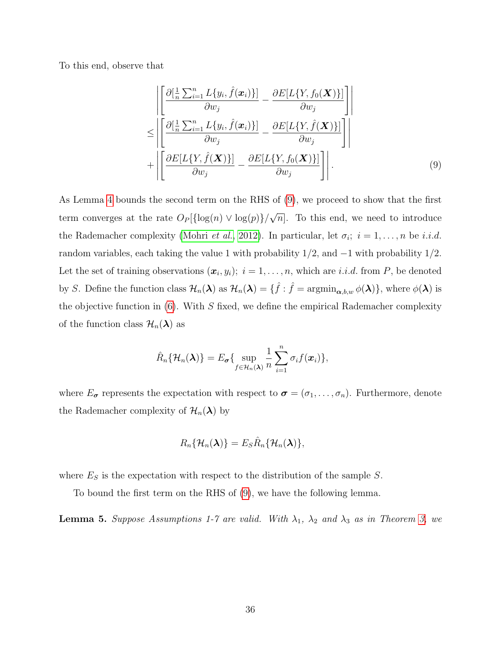To this end, observe that

<span id="page-35-0"></span>
$$
\begin{aligned}\n&= \left| \left[ \frac{\partial \left[ \frac{1}{n} \sum_{i=1}^{n} L\{y_i, \hat{f}(\boldsymbol{x}_i) \} \right]}{\partial w_j} - \frac{\partial E[L\{Y, f_0(\boldsymbol{X})\}]}{\partial w_j} \right] \right| \\
&\leq \left| \left[ \frac{\partial \left[ \frac{1}{n} \sum_{i=1}^{n} L\{y_i, \hat{f}(\boldsymbol{x}_i) \} \right]}{\partial w_j} - \frac{\partial E[L\{Y, \hat{f}(\boldsymbol{X})\}]}{\partial w_j} \right] \right| \\
&+ \left| \left[ \frac{\partial E[L\{Y, \hat{f}(\boldsymbol{X})\}]}{\partial w_j} - \frac{\partial E[L\{Y, f_0(\boldsymbol{X})\}]}{\partial w_j} \right] \right|. \tag{9}\n\end{aligned}
$$

As Lemma [4](#page-34-0) bounds the second term on the RHS of [\(9\)](#page-35-0), we proceed to show that the first term converges at the rate  $O_P\{\log(n) \vee \log(p)\}/$ √  $\overline{n}$ . To this end, we need to introduce the Rademacher complexity [\(Mohri](#page-41-13) *et al.*, [2012\)](#page-41-13). In particular, let  $\sigma_i$ ;  $i = 1, \ldots, n$  be *i.i.d.* random variables, each taking the value 1 with probability  $1/2$ , and  $-1$  with probability  $1/2$ . Let the set of training observations  $(x_i, y_i); i = 1, \ldots, n$ , which are *i.i.d.* from P, be denoted by S. Define the function class  $\mathcal{H}_n(\boldsymbol{\lambda})$  as  $\mathcal{H}_n(\boldsymbol{\lambda}) = \{\hat{f} : \hat{f} = \operatorname{argmin}_{\boldsymbol{\alpha},b,w} \phi(\boldsymbol{\lambda})\}$ , where  $\phi(\boldsymbol{\lambda})$  is the objective function in  $(6)$ . With S fixed, we define the empirical Rademacher complexity of the function class  $\mathcal{H}_n(\lambda)$  as

$$
\hat{R}_n\{\mathcal{H}_n(\boldsymbol{\lambda})\}=E_{\boldsymbol{\sigma}}\{\sup_{f\in\mathcal{H}_n(\boldsymbol{\lambda})}\frac{1}{n}\sum_{i=1}^n\sigma_if(\boldsymbol{x}_i)\},\
$$

where  $E_{\sigma}$  represents the expectation with respect to  $\sigma = (\sigma_1, \ldots, \sigma_n)$ . Furthermore, denote the Rademacher complexity of  $\mathcal{H}_n(\lambda)$  by

$$
R_n\{\mathcal{H}_n(\boldsymbol{\lambda})\}=E_S\hat{R}_n\{\mathcal{H}_n(\boldsymbol{\lambda})\},
$$

where  $E_S$  is the expectation with respect to the distribution of the sample  $S$ .

To bound the first term on the RHS of [\(9\)](#page-35-0), we have the following lemma.

**Lemma 5.** Suppose Assumptions 1-7 are valid. With  $\lambda_1$ ,  $\lambda_2$  and  $\lambda_3$  as in Theorem [3,](#page-16-1) we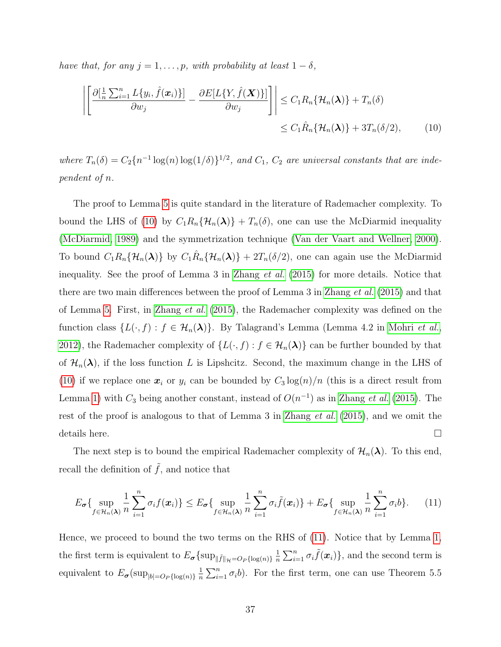have that, for any  $j = 1, \ldots, p$ , with probability at least  $1 - \delta$ ,

 $\overline{\phantom{a}}$ I I I  $\vert$ 

<span id="page-36-0"></span>
$$
\left[\frac{\partial[\frac{1}{n}\sum_{i=1}^{n}L\{y_i,\hat{f}(\boldsymbol{x}_i)\}]}{\partial w_j} - \frac{\partial E[L\{Y,\hat{f}(\boldsymbol{X})\}]}{\partial w_j}\right] \leq C_1 R_n \{\mathcal{H}_n(\boldsymbol{\lambda})\} + T_n(\delta)
$$
  

$$
\leq C_1 \hat{R}_n \{\mathcal{H}_n(\boldsymbol{\lambda})\} + 3T_n(\delta/2), \qquad (10)
$$

where  $T_n(\delta) = C_2 \{ n^{-1} \log(n) \log(1/\delta) \}^{1/2}$ , and  $C_1$ ,  $C_2$  are universal constants that are independent of n.

The proof to Lemma [5](#page-36-0) is quite standard in the literature of Rademacher complexity. To bound the LHS of [\(10\)](#page-36-0) by  $C_1R_n\{\mathcal{H}_n(\lambda)\} + T_n(\delta)$ , one can use the McDiarmid inequality [\(McDiarmid, 1989\)](#page-41-14) and the symmetrization technique [\(Van der Vaart and Wellner, 2000\)](#page-42-14). To bound  $C_1R_n\{\mathcal{H}_n(\lambda)\}\$  by  $C_1\hat{R}_n\{\mathcal{H}_n(\lambda)\} + 2T_n(\delta/2)$ , one can again use the McDiarmid inequality. See the proof of Lemma 3 in [Zhang](#page-42-7) et al. [\(2015\)](#page-42-7) for more details. Notice that there are two main differences between the proof of Lemma 3 in [Zhang](#page-42-7) et al. [\(2015\)](#page-42-7) and that of Lemma [5.](#page-36-0) First, in [Zhang](#page-42-7) et al. [\(2015\)](#page-42-7), the Rademacher complexity was defined on the function class  $\{L(\cdot,f): f \in \mathcal{H}_n(\lambda)\}\$ . By Talagrand's Lemma (Lemma 4.2 in [Mohri](#page-41-13) *et al.*, [2012\)](#page-41-13), the Rademacher complexity of  $\{L(\cdot,f): f \in \mathcal{H}_n(\lambda)\}\)$  can be further bounded by that of  $\mathcal{H}_n(\lambda)$ , if the loss function L is Lipshcitz. Second, the maximum change in the LHS of [\(10\)](#page-36-0) if we replace one  $x_i$  or  $y_i$  can be bounded by  $C_3 \log(n)/n$  (this is a direct result from Lemma [1\)](#page-31-1) with  $C_3$  being another constant, instead of  $O(n^{-1})$  as in [Zhang](#page-42-7) *et al.* [\(2015\)](#page-42-7). The rest of the proof is analogous to that of Lemma 3 in [Zhang](#page-42-7) *et al.* [\(2015\)](#page-42-7), and we omit the details here.

The next step is to bound the empirical Rademacher complexity of  $\mathcal{H}_n(\lambda)$ . To this end, recall the definition of  $\tilde{f}$ , and notice that

<span id="page-36-1"></span>
$$
E_{\sigma}\left\{\sup_{f\in\mathcal{H}_n(\boldsymbol{\lambda})}\frac{1}{n}\sum_{i=1}^n\sigma_if(\boldsymbol{x}_i)\right\}\leq E_{\sigma}\left\{\sup_{f\in\mathcal{H}_n(\boldsymbol{\lambda})}\frac{1}{n}\sum_{i=1}^n\sigma_i\tilde{f}(\boldsymbol{x}_i)\right\}+E_{\sigma}\left\{\sup_{f\in\mathcal{H}_n(\boldsymbol{\lambda})}\frac{1}{n}\sum_{i=1}^n\sigma_ib\right\}.\tag{11}
$$

Hence, we proceed to bound the two terms on the RHS of [\(11\)](#page-36-1). Notice that by Lemma [1,](#page-31-1) the first term is equivalent to  $E_{\sigma} \{\sup_{\|\tilde{f}\|_{\mathcal{H}}=O_P\{\log(n)\}}\frac{1}{n}$  $\frac{1}{n} \sum_{i=1}^{n} \sigma_i \tilde{f}(\boldsymbol{x}_i) \},$  and the second term is equivalent to  $E_{\sigma}(\sup_{|b|=O_P\{\log(n)\}}\frac{1}{n})$  $\frac{1}{n}\sum_{i=1}^{n} \sigma_i b$ . For the first term, one can use Theorem 5.5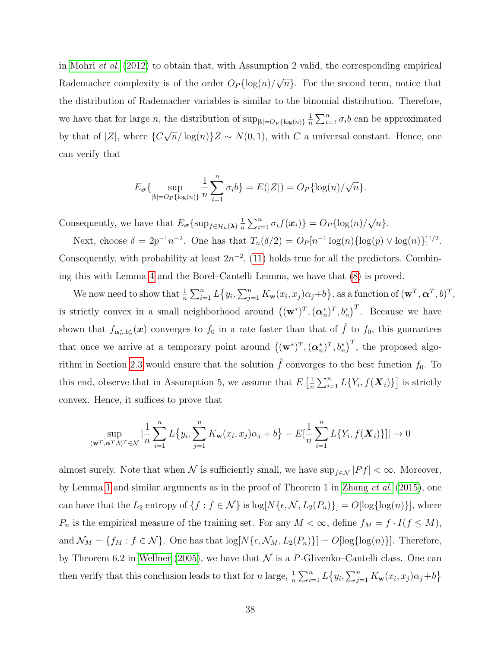in [Mohri](#page-41-13) et al. [\(2012\)](#page-41-13) to obtain that, with Assumption 2 valid, the corresponding empirical Rademacher complexity is of the order  $O_P\{\log(n)/\}$ √  $\overline{n}$ . For the second term, notice that the distribution of Rademacher variables is similar to the binomial distribution. Therefore, we have that for large n, the distribution of  $\sup_{|b|=O_P\{\log(n)\}}\frac{1}{n}$  $\frac{1}{n} \sum_{i=1}^{n} \sigma_i b$  can be approximated by that of  $|Z|$ , where  $\{C\}$ √  $\overline{n}/\log(n)$   $Z \sim N(0, 1)$ , with C a universal constant. Hence, one can verify that

$$
E_{\sigma}\{\sup_{|b|=O_P\{\log(n)\}}\frac{1}{n}\sum_{i=1}^n \sigma_i b\} = E(|Z|) = O_P\{\log(n)/\sqrt{n}\}.
$$

Consequently, we have that  $E_{\sigma}\left\{\sup_{f\in\mathcal{H}_n(\boldsymbol{\lambda})}\frac{1}{n}\right\}$  $\frac{1}{n}\sum_{i=1}^n \sigma_i f(\boldsymbol{x}_i) \} = O_P\{\log(n)/P\}$ √  $\overline{n}$  }.

Next, choose  $\delta = 2p^{-1}n^{-2}$ . One has that  $T_n(\delta/2) = O_P[n^{-1}\log(n)\{\log(p) \vee \log(n)\}]^{1/2}$ . Consequently, with probability at least  $2n^{-2}$ , [\(11\)](#page-36-1) holds true for all the predictors. Combining this with Lemma [4](#page-34-0) and the Borel–Cantelli Lemma, we have that [\(8\)](#page-34-1) is proved.

We now need to show that  $\frac{1}{n} \sum_{i=1}^n L\{y_i, \sum_{j=1}^n K_{\mathbf{w}}(x_i, x_j) \alpha_j + b\}$ , as a function of  $(\mathbf{w}^T, \boldsymbol{\alpha}^T, b)^T$ , is strictly convex in a small neighborhood around  $((\mathbf{w}^*)^T, (\boldsymbol{\alpha}_n^*)^T, b_n^*)^T$ . Because we have shown that  $f_{\boldsymbol{\alpha}_n^*,b_n^*}(\boldsymbol{x})$  converges to  $f_0$  in a rate faster than that of  $\hat{f}$  to  $f_0$ , this guarantees that once we arrive at a temporary point around  $((\mathbf{w}^*)^T, (\boldsymbol{\alpha}_n^*)^T, b_n^*)^T$ , the proposed algo-rithm in Section [2.3](#page-8-0) would ensure that the solution  $\hat{f}$  converges to the best function  $f_0$ . To this end, observe that in Assumption 5, we assume that  $E\left[\frac{1}{n}\right]$  $\frac{1}{n}\sum_{i=1}^{n} L\{Y_i, f(\boldsymbol{X}_i)\}\]$  is strictly convex. Hence, it suffices to prove that

$$
\sup_{\left(\mathbf{w}^T,\alpha^T,b\right)^T\in\mathcal{N}}\left|\frac{1}{n}\sum_{i=1}^nL\left\{y_i,\sum_{j=1}^nK_{\mathbf{w}}(x_i,x_j)\alpha_j+b\right\}-E\left[\frac{1}{n}\sum_{i=1}^nL\left\{Y_i,f(\boldsymbol{X}_i)\right\}\right]\right|\to 0
$$

almost surely. Note that when  $\mathcal N$  is sufficiently small, we have  $\sup_{f\in\mathcal N}|Pf|<\infty$ . Moreover, by Lemma [1](#page-31-1) and similar arguments as in the proof of Theorem 1 in [Zhang](#page-42-7) et al. [\(2015\)](#page-42-7), one can have that the  $L_2$  entropy of  $\{f : f \in \mathcal{N}\}\$ is  $\log[N\{\epsilon,\mathcal{N},L_2(P_n)\}]=O[\log\{\log(n)\}],$  where  $P_n$  is the empirical measure of the training set. For any  $M < \infty$ , define  $f_M = f \cdot I(f \le M)$ , and  $\mathcal{N}_M = \{f_M : f \in \mathcal{N}\}\$ . One has that  $\log[N\{\epsilon, \mathcal{N}_M, L_2(P_n)\}] = O[\log\{\log(n)\}]$ . Therefore, by Theorem 6.2 in [Wellner](#page-42-15) [\(2005\)](#page-42-15), we have that  $\mathcal N$  is a P-Glivenko–Cantelli class. One can then verify that this conclusion leads to that for n large,  $\frac{1}{n} \sum_{i=1}^{n} L(y_i, \sum_{j=1}^{n} K_{\mathbf{w}}(x_i, x_j) \alpha_j + b$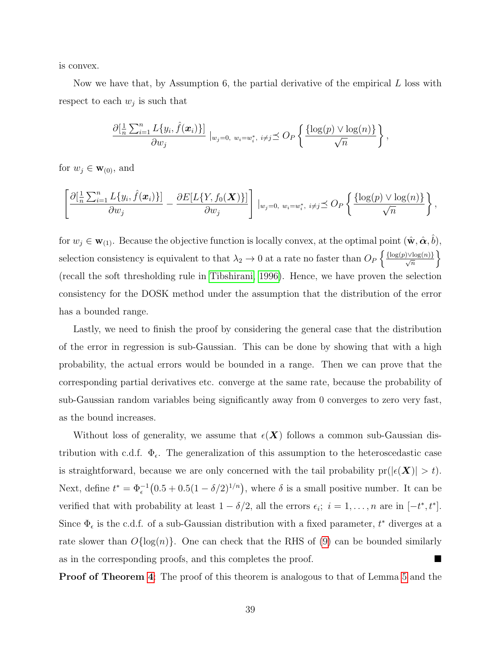is convex.

Now we have that, by Assumption 6, the partial derivative of the empirical  $L$  loss with respect to each  $w_j$  is such that

$$
\frac{\partial[\frac{1}{n}\sum_{i=1}^n L\{y_i,\hat{f}(\boldsymbol{x}_i)\}]}{\partial w_j}\Big|_{w_j=0, w_i=w_i^*, i\neq j}\preceq O_P\left\{\frac{\{\log(p)\vee\log(n)\}}{\sqrt{n}}\right\},\,
$$

for  $w_j \in \mathbf{w}_{(0)}$ , and

$$
\left[\frac{\partial[\frac{1}{n}\sum_{i=1}^n L\{y_i,\hat{f}(\boldsymbol{x}_i)\}]}{\partial w_j} - \frac{\partial E[L\{Y,f_0(\boldsymbol{X})\}]}{\partial w_j}\right] |_{w_j=0, w_i=w_i^*, i\neq j} \leq O_P\left\{\frac{\{\log(p) \vee \log(n)\}}{\sqrt{n}}\right\},\,
$$

for  $w_j \in \mathbf{w}_{(1)}$ . Because the objective function is locally convex, at the optimal point  $(\hat{\mathbf{w}}, \hat{\boldsymbol{\alpha}}, \hat{b})$ , selection consistency is equivalent to that  $\lambda_2 \to 0$  at a rate no faster than  $O_P\left\{\frac{\{\log(p) \vee \log(n)\}}{\sqrt{n}}\right\}$ (recall the soft thresholding rule in [Tibshirani, 1996\)](#page-42-0). Hence, we have proven the selection consistency for the DOSK method under the assumption that the distribution of the error has a bounded range.

Lastly, we need to finish the proof by considering the general case that the distribution of the error in regression is sub-Gaussian. This can be done by showing that with a high probability, the actual errors would be bounded in a range. Then we can prove that the corresponding partial derivatives etc. converge at the same rate, because the probability of sub-Gaussian random variables being significantly away from 0 converges to zero very fast, as the bound increases.

Without loss of generality, we assume that  $\epsilon(X)$  follows a common sub-Gaussian distribution with c.d.f.  $\Phi_{\epsilon}$ . The generalization of this assumption to the heteroscedastic case is straightforward, because we are only concerned with the tail probability  $pr(|\epsilon(\boldsymbol{X})| > t)$ . Next, define  $t^* = \Phi_{\epsilon}^{-1}(0.5 + 0.5(1 - \delta/2)^{1/n})$ , where  $\delta$  is a small positive number. It can be verified that with probability at least  $1 - \delta/2$ , all the errors  $\epsilon_i$ ;  $i = 1, ..., n$  are in  $[-t^*, t^*]$ . Since  $\Phi_{\epsilon}$  is the c.d.f. of a sub-Gaussian distribution with a fixed parameter,  $t^*$  diverges at a rate slower than  $O\{\log(n)\}\$ . One can check that the RHS of [\(9\)](#page-35-0) can be bounded similarly as in the corresponding proofs, and this completes the proof.

**Proof of Theorem [4](#page-17-1):** The proof of this theorem is analogous to that of Lemma [5](#page-36-0) and the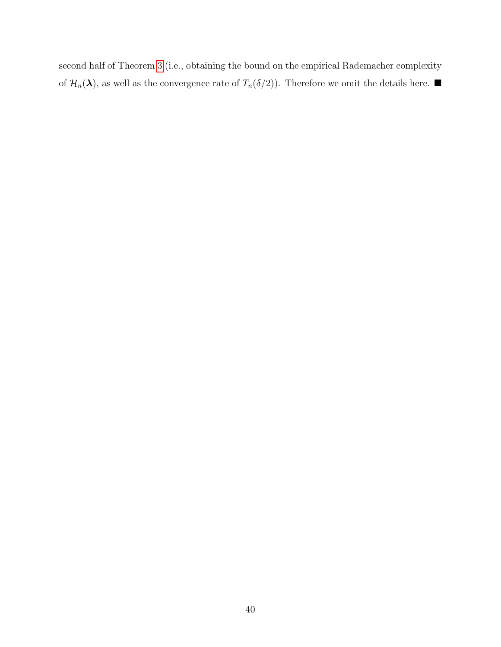second half of Theorem [3](#page-16-1) (i.e., obtaining the bound on the empirical Rademacher complexity of  $\mathcal{H}_n(\lambda)$ , as well as the convergence rate of  $T_n(\delta/2)$ ). Therefore we omit the details here.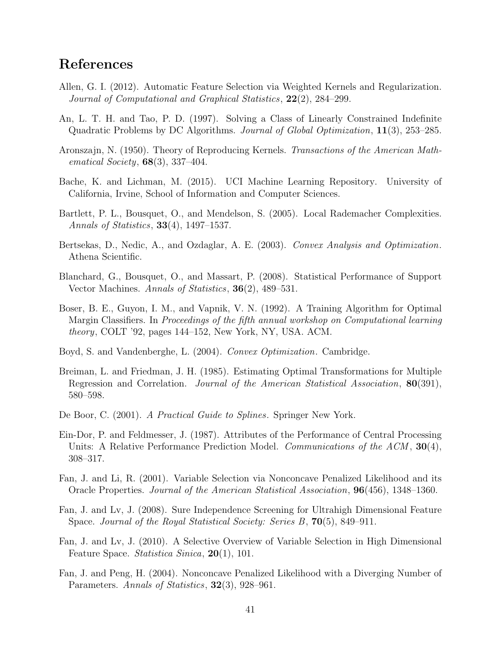## References

- <span id="page-40-6"></span>Allen, G. I. (2012). Automatic Feature Selection via Weighted Kernels and Regularization. Journal of Computational and Graphical Statistics, 22(2), 284–299.
- <span id="page-40-8"></span>An, L. T. H. and Tao, P. D. (1997). Solving a Class of Linearly Constrained Indefinite Quadratic Problems by DC Algorithms. Journal of Global Optimization, 11(3), 253–285.
- <span id="page-40-3"></span>Aronszajn, N. (1950). Theory of Reproducing Kernels. Transactions of the American Mathematical Society,  $68(3)$ , 337-404.
- <span id="page-40-14"></span>Bache, K. and Lichman, M. (2015). UCI Machine Learning Repository. University of California, Irvine, School of Information and Computer Sciences.
- <span id="page-40-10"></span>Bartlett, P. L., Bousquet, O., and Mendelson, S. (2005). Local Rademacher Complexities. Annals of Statistics, 33(4), 1497–1537.
- <span id="page-40-15"></span>Bertsekas, D., Nedic, A., and Ozdaglar, A. E. (2003). Convex Analysis and Optimization. Athena Scientific.
- <span id="page-40-9"></span>Blanchard, G., Bousquet, O., and Massart, P. (2008). Statistical Performance of Support Vector Machines. Annals of Statistics, 36(2), 489–531.
- <span id="page-40-1"></span>Boser, B. E., Guyon, I. M., and Vapnik, V. N. (1992). A Training Algorithm for Optimal Margin Classifiers. In Proceedings of the fifth annual workshop on Computational learning theory, COLT '92, pages 144–152, New York, NY, USA. ACM.
- <span id="page-40-7"></span>Boyd, S. and Vandenberghe, L. (2004). Convex Optimization. Cambridge.
- <span id="page-40-12"></span>Breiman, L. and Friedman, J. H. (1985). Estimating Optimal Transformations for Multiple Regression and Correlation. Journal of the American Statistical Association, 80(391), 580–598.
- <span id="page-40-2"></span>De Boor, C. (2001). A Practical Guide to Splines. Springer New York.
- <span id="page-40-13"></span>Ein-Dor, P. and Feldmesser, J. (1987). Attributes of the Performance of Central Processing Units: A Relative Performance Prediction Model. Communications of the  $ACM$ , 30(4), 308–317.
- <span id="page-40-4"></span>Fan, J. and Li, R. (2001). Variable Selection via Nonconcave Penalized Likelihood and its Oracle Properties. Journal of the American Statistical Association, 96(456), 1348–1360.
- <span id="page-40-0"></span>Fan, J. and Lv, J. (2008). Sure Independence Screening for Ultrahigh Dimensional Feature Space. Journal of the Royal Statistical Society: Series  $B$ , **70**(5), 849–911.
- <span id="page-40-5"></span>Fan, J. and Lv, J. (2010). A Selective Overview of Variable Selection in High Dimensional Feature Space. Statistica Sinica, 20(1), 101.
- <span id="page-40-11"></span>Fan, J. and Peng, H. (2004). Nonconcave Penalized Likelihood with a Diverging Number of Parameters. Annals of Statistics, 32(3), 928–961.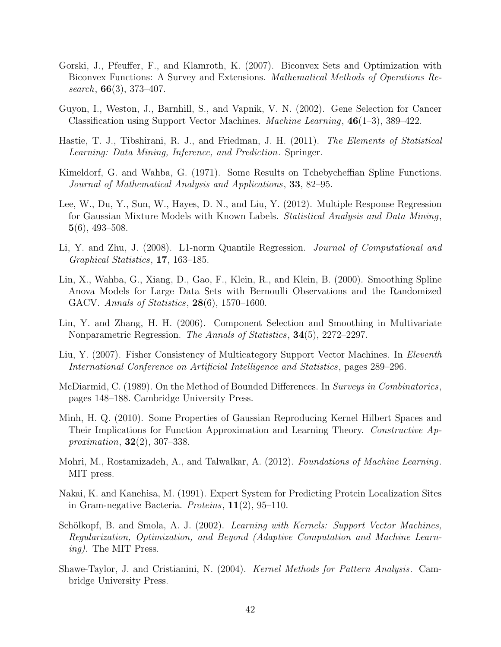- <span id="page-41-8"></span>Gorski, J., Pfeuffer, F., and Klamroth, K. (2007). Biconvex Sets and Optimization with Biconvex Functions: A Survey and Extensions. Mathematical Methods of Operations Research,  $66(3)$ , 373-407.
- <span id="page-41-4"></span>Guyon, I., Weston, J., Barnhill, S., and Vapnik, V. N. (2002). Gene Selection for Cancer Classification using Support Vector Machines. Machine Learning, 46(1–3), 389–422.
- <span id="page-41-0"></span>Hastie, T. J., Tibshirani, R. J., and Friedman, J. H. (2011). The Elements of Statistical Learning: Data Mining, Inference, and Prediction. Springer.
- <span id="page-41-1"></span>Kimeldorf, G. and Wahba, G. (1971). Some Results on Tchebycheffian Spline Functions. Journal of Mathematical Analysis and Applications, 33, 82–95.
- <span id="page-41-9"></span>Lee, W., Du, Y., Sun, W., Hayes, D. N., and Liu, Y. (2012). Multiple Response Regression for Gaussian Mixture Models with Known Labels. Statistical Analysis and Data Mining,  $5(6)$ , 493–508.
- <span id="page-41-11"></span>Li, Y. and Zhu, J. (2008). L1-norm Quantile Regression. Journal of Computational and Graphical Statistics, 17, 163–185.
- <span id="page-41-6"></span>Lin, X., Wahba, G., Xiang, D., Gao, F., Klein, R., and Klein, B. (2000). Smoothing Spline Anova Models for Large Data Sets with Bernoulli Observations and the Randomized GACV. Annals of Statistics, 28(6), 1570–1600.
- <span id="page-41-5"></span>Lin, Y. and Zhang, H. H. (2006). Component Selection and Smoothing in Multivariate Nonparametric Regression. The Annals of Statistics, 34(5), 2272–2297.
- <span id="page-41-10"></span>Liu, Y. (2007). Fisher Consistency of Multicategory Support Vector Machines. In *Eleventh* International Conference on Artificial Intelligence and Statistics, pages 289–296.
- <span id="page-41-14"></span>McDiarmid, C. (1989). On the Method of Bounded Differences. In Surveys in Combinatorics, pages 148–188. Cambridge University Press.
- <span id="page-41-7"></span>Minh, H. Q. (2010). Some Properties of Gaussian Reproducing Kernel Hilbert Spaces and Their Implications for Function Approximation and Learning Theory. Constructive Approximation, 32(2), 307–338.
- <span id="page-41-13"></span>Mohri, M., Rostamizadeh, A., and Talwalkar, A. (2012). Foundations of Machine Learning. MIT press.
- <span id="page-41-12"></span>Nakai, K. and Kanehisa, M. (1991). Expert System for Predicting Protein Localization Sites in Gram-negative Bacteria. Proteins, 11(2), 95–110.
- <span id="page-41-2"></span>Schölkopf, B. and Smola, A. J. (2002). Learning with Kernels: Support Vector Machines, Regularization, Optimization, and Beyond (Adaptive Computation and Machine Learning). The MIT Press.
- <span id="page-41-3"></span>Shawe-Taylor, J. and Cristianini, N. (2004). Kernel Methods for Pattern Analysis. Cambridge University Press.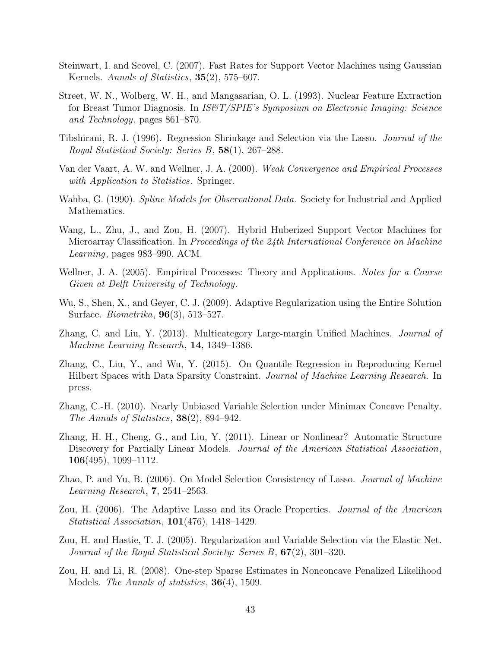- <span id="page-42-11"></span>Steinwart, I. and Scovel, C. (2007). Fast Rates for Support Vector Machines using Gaussian Kernels. Annals of Statistics, **35**(2), 575–607.
- <span id="page-42-12"></span>Street, W. N., Wolberg, W. H., and Mangasarian, O. L. (1993). Nuclear Feature Extraction for Breast Tumor Diagnosis. In IS&T/SPIE's Symposium on Electronic Imaging: Science and Technology, pages 861–870.
- <span id="page-42-0"></span>Tibshirani, R. J. (1996). Regression Shrinkage and Selection via the Lasso. Journal of the Royal Statistical Society: Series B, 58(1), 267–288.
- <span id="page-42-14"></span>Van der Vaart, A. W. and Wellner, J. A. (2000). Weak Convergence and Empirical Processes with Application to Statistics. Springer.
- <span id="page-42-8"></span>Wahba, G. (1990). Spline Models for Observational Data. Society for Industrial and Applied Mathematics.
- <span id="page-42-10"></span>Wang, L., Zhu, J., and Zou, H. (2007). Hybrid Huberized Support Vector Machines for Microarray Classification. In Proceedings of the 24th International Conference on Machine Learning, pages 983–990. ACM.
- <span id="page-42-15"></span>Wellner, J. A. (2005). Empirical Processes: Theory and Applications. Notes for a Course Given at Delft University of Technology.
- <span id="page-42-2"></span>Wu, S., Shen, X., and Geyer, C. J. (2009). Adaptive Regularization using the Entire Solution Surface. Biometrika, 96(3), 513–527.
- <span id="page-42-13"></span>Zhang, C. and Liu, Y. (2013). Multicategory Large-margin Unified Machines. Journal of Machine Learning Research, 14, 1349–1386.
- <span id="page-42-7"></span>Zhang, C., Liu, Y., and Wu, Y. (2015). On Quantile Regression in Reproducing Kernel Hilbert Spaces with Data Sparsity Constraint. Journal of Machine Learning Research. In press.
- <span id="page-42-3"></span>Zhang, C.-H. (2010). Nearly Unbiased Variable Selection under Minimax Concave Penalty. The Annals of Statistics, 38(2), 894–942.
- <span id="page-42-4"></span>Zhang, H. H., Cheng, G., and Liu, Y. (2011). Linear or Nonlinear? Automatic Structure Discovery for Partially Linear Models. Journal of the American Statistical Association, 106(495), 1099–1112.
- <span id="page-42-6"></span>Zhao, P. and Yu, B. (2006). On Model Selection Consistency of Lasso. Journal of Machine Learning Research, 7, 2541–2563.
- <span id="page-42-5"></span>Zou, H. (2006). The Adaptive Lasso and its Oracle Properties. Journal of the American Statistical Association, 101(476), 1418–1429.
- <span id="page-42-1"></span>Zou, H. and Hastie, T. J. (2005). Regularization and Variable Selection via the Elastic Net. Journal of the Royal Statistical Society: Series B, 67(2), 301–320.
- <span id="page-42-9"></span>Zou, H. and Li, R. (2008). One-step Sparse Estimates in Nonconcave Penalized Likelihood Models. *The Annals of statistics*, **36**(4), 1509.